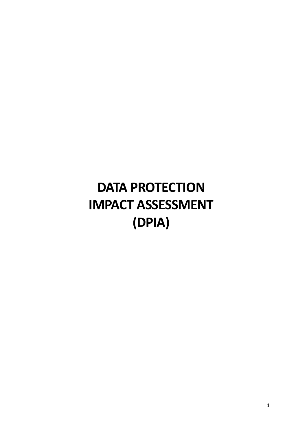# **DATA PROTECTION IMPACT ASSESSMENT (DPIA)**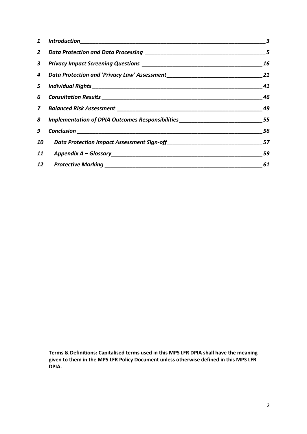| $\mathbf{1}$ |                                                                                  | 3  |
|--------------|----------------------------------------------------------------------------------|----|
|              |                                                                                  | 5  |
|              |                                                                                  | 16 |
|              | 4 Data Protection and 'Privacy Law' Assessment__________________________________ | 21 |
|              |                                                                                  | 41 |
|              |                                                                                  | 46 |
|              |                                                                                  | 49 |
| 8            | Implementation of DPIA Outcomes Responsibilities________________________________ | 55 |
| 9            |                                                                                  | 56 |
| 10           | Data Protection Impact Assessment Sign-off_________________________              | 57 |
| 11           |                                                                                  | 59 |
|              |                                                                                  | 61 |

**Terms & Definitions: Capitalised terms used in this MPS LFR DPIA shall have the meaning given to them in the MPS LFR Policy Document unless otherwise defined in this MPS LFR DPIA.**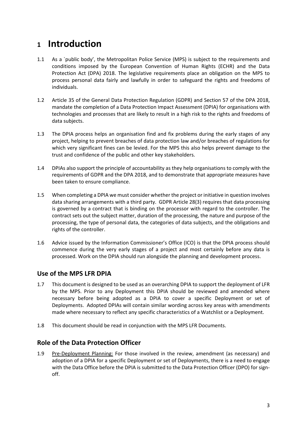### <span id="page-2-0"></span>**<sup>1</sup> Introduction**

- 1.1 As a `public body', the Metropolitan Police Service (MPS) is subject to the requirements and conditions imposed by the European Convention of Human Rights (ECHR) and the Data Protection Act (DPA) 2018. The legislative requirements place an obligation on the MPS to process personal data fairly and lawfully in order to safeguard the rights and freedoms of individuals.
- 1.2 Article 35 of the General Data Protection Regulation (GDPR) and Section 57 of the DPA 2018, mandate the completion of a Data Protection Impact Assessment (DPIA) for organisations with technologies and processes that are likely to result in a high risk to the rights and freedoms of data subjects.
- 1.3 The DPIA process helps an organisation find and fix problems during the early stages of any project, helping to prevent breaches of data protection law and/or breaches of regulations for which very significant fines can be levied. For the MPS this also helps prevent damage to the trust and confidence of the public and other key stakeholders.
- 1.4 DPIAs also support the principle of accountability as they help organisations to comply with the requirements of GDPR and the DPA 2018, and to demonstrate that appropriate measures have been taken to ensure compliance.
- 1.5 When completing a DPIA we must consider whether the project or initiative in question involves data sharing arrangements with a third party. GDPR Article 28(3) requires that data processing is governed by a contract that is binding on the processor with regard to the controller. The contract sets out the subject matter, duration of the processing, the nature and purpose of the processing, the type of personal data, the categories of data subjects, and the obligations and rights of the controller.
- 1.6 Advice issued by the Information Commissioner's Office (ICO) is that the DPIA process should commence during the very early stages of a project and most certainly before any data is processed. Work on the DPIA should run alongside the planning and development process.

#### **Use of the MPS LFR DPIA**

- 1.7 This document is designed to be used as an overarching DPIA to support the deployment of LFR by the MPS. Prior to any Deployment this DPIA should be reviewed and amended where necessary before being adopted as a DPIA to cover a specific Deployment or set of Deployments. Adopted DPIAs will contain similar wording across key areas with amendments made where necessary to reflect any specific characteristics of a Watchlist or a Deployment.
- 1.8 This document should be read in conjunction with the MPS LFR Documents.

#### **Role of the Data Protection Officer**

1.9 Pre-Deployment Planning: For those involved in the review, amendment (as necessary) and adoption of a DPIA for a specific Deployment or set of Deployments, there is a need to engage with the Data Office before the DPIA is submitted to the Data Protection Officer (DPO) for signoff.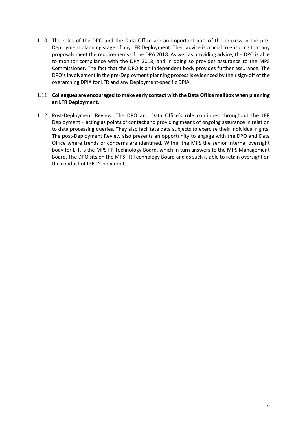1.10 The roles of the DPO and the Data Office are an important part of the process in the pre-Deployment planning stage of any LFR Deployment. Their advice is crucial to ensuring that any proposals meet the requirements of the DPA 2018. As well as providing advice, the DPO is able to monitor compliance with the DPA 2018, and in doing so provides assurance to the MPS Commissioner. The fact that the DPO is an independent body provides further assurance. The DPO's involvement in the pre-Deployment planning process is evidenced by their sign-off of the overarching DPIA for LFR and any Deployment-specific DPIA.

#### 1.11 **Colleagues are encouraged to make early contact with the Data Office mailbox when planning an LFR Deployment.**

1.12 Post-Deployment Review: The DPO and Data Office's role continues throughout the LFR Deployment – acting as points of contact and providing means of ongoing assurance in relation to data processing queries. They also facilitate data subjects to exercise their individual rights. The post-Deployment Review also presents an opportunity to engage with the DPO and Data Office where trends or concerns are identified. Within the MPS the senior internal oversight body for LFR is the MPS FR Technology Board, which in turn answers to the MPS Management Board. The DPO sits on the MPS FR Technology Board and as such is able to retain oversight on the conduct of LFR Deployments.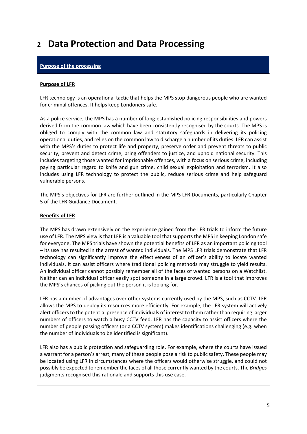### <span id="page-4-0"></span>**<sup>2</sup> Data Protection and Data Processing**

#### **Purpose of the processing**

#### **Purpose of LFR**

LFR technology is an operational tactic that helps the MPS stop dangerous people who are wanted for criminal offences. It helps keep Londoners safe.

As a police service, the MPS has a number of long-established policing responsibilities and powers derived from the common law which have been consistently recognised by the courts. The MPS is obliged to comply with the common law and statutory safeguards in delivering its policing operational duties, and relies on the common law to discharge a number of its duties. LFR can assist with the MPS's duties to protect life and property, preserve order and prevent threats to public security, prevent and detect crime, bring offenders to justice, and uphold national security. This includes targeting those wanted for imprisonable offences, with a focus on serious crime, including paying particular regard to knife and gun crime, child sexual exploitation and terrorism. It also includes using LFR technology to protect the public, reduce serious crime and help safeguard vulnerable persons.

The MPS's objectives for LFR are further outlined in the MPS LFR Documents, particularly Chapter 5 of the LFR Guidance Document.

#### **Benefits of LFR**

The MPS has drawn extensively on the experience gained from the LFR trials to inform the future use of LFR. The MPS view is that LFR is a valuable tool that supports the MPS in keeping London safe for everyone. The MPS trials have shown the potential benefits of LFR as an important policing tool – its use has resulted in the arrest of wanted individuals. The MPS LFR trials demonstrate that LFR technology can significantly improve the effectiveness of an officer's ability to locate wanted individuals. It can assist officers where traditional policing methods may struggle to yield results. An individual officer cannot possibly remember all of the faces of wanted persons on a Watchlist. Neither can an individual officer easily spot someone in a large crowd. LFR is a tool that improves the MPS's chances of picking out the person it is looking for.

LFR has a number of advantages over other systems currently used by the MPS, such as CCTV. LFR allows the MPS to deploy its resources more efficiently. For example, the LFR system will actively alert officers to the potential presence of individuals of interest to them rather than requiring larger numbers of officers to watch a busy CCTV feed. LFR has the capacity to assist officers where the number of people passing officers (or a CCTV system) makes identifications challenging (e.g. when the number of individuals to be identified is significant).

LFR also has a public protection and safeguarding role. For example, where the courts have issued a warrant for a person's arrest, many of these people pose a risk to public safety. These people may be located using LFR in circumstances where the officers would otherwise struggle, and could not possibly be expected to remember the faces of all those currently wanted by the courts. The *Bridges* judgments recognised this rationale and supports this use case.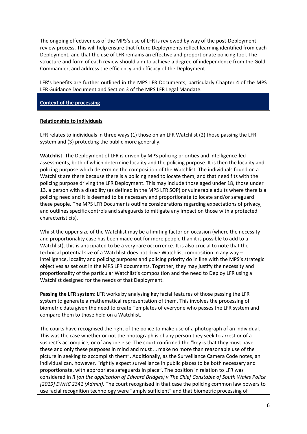The ongoing effectiveness of the MPS's use of LFR is reviewed by way of the post-Deployment review process. This will help ensure that future Deployments reflect learning identified from each Deployment, and that the use of LFR remains an effective and proportionate policing tool. The structure and form of each review should aim to achieve a degree of independence from the Gold Commander, and address the efficiency and efficacy of the Deployment.

LFR's benefits are further outlined in the MPS LFR Documents, particularly Chapter 4 of the MPS LFR Guidance Document and Section 3 of the MPS LFR Legal Mandate.

#### **Context of the processing**

#### **Relationship to individuals**

LFR relates to individuals in three ways (1) those on an LFR Watchlist (2) those passing the LFR system and (3) protecting the public more generally.

**Watchlist**: The Deployment of LFR is driven by MPS policing priorities and intelligence-led assessments, both of which determine locality and the policing purpose. It is then the locality and policing purpose which determine the composition of the Watchlist. The individuals found on a Watchlist are there because there is a policing need to locate them, and that need fits with the policing purpose driving the LFR Deployment. This may include those aged under 18, those under 13, a person with a disability (as defined in the MPS LFR SOP) or vulnerable adults where there is a policing need and it is deemed to be necessary and proportionate to locate and/or safeguard these people. The MPS LFR Documents outline considerations regarding expectations of privacy, and outlines specific controls and safeguards to mitigate any impact on those with a protected characteristic(s).

Whilst the upper size of the Watchlist may be a limiting factor on occasion (where the necessity and proportionality case has been made out for more people than it is possible to add to a Watchlist), this is anticipated to be a very rare occurrence. It is also crucial to note that the technical potential size of a Watchlist does not drive Watchlist composition in any way – intelligence, locality and policing purposes and policing priority do in line with the MPS's strategic objectives as set out in the MPS LFR documents. Together, they may justify the necessity and proportionality of the particular Watchlist's composition and the need to Deploy LFR using a Watchlist designed for the needs of that Deployment.

**Passing the LFR system:** LFR works by analysing key facial features of those passing the LFR system to generate a mathematical representation of them. This involves the processing of biometric data given the need to create Templates of everyone who passes the LFR system and compare them to those held on a Watchlist.

The courts have recognised the right of the police to make use of a photograph of an individual. This was the case whether or not the photograph is of any person they seek to arrest or of a suspect's accomplice, or of anyone else. The court confirmed the "key is that they must have these and only these purposes in mind and must … make no more than reasonable use of the picture in seeking to accomplish them". Additionally, as the Surveillance Camera Code notes, an individual can, however, "rightly expect surveillance in public places to be both necessary and proportionate, with appropriate safeguards in place". The position in relation to LFR was considered in *R (on the application of Edward Bridges) v The Chief Constable of South Wales Police [2019] EWHC 2341 (Admin).* The court recognised in that case the policing common law powers to use facial recognition technology were "amply sufficient" and that biometric processing of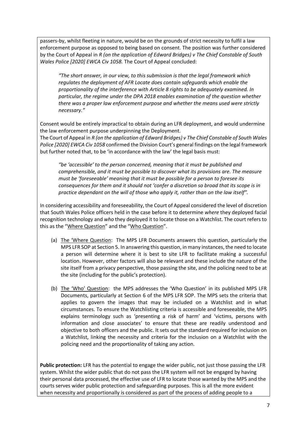passers-by, whilst fleeting in nature, would be on the grounds of strict necessity to fulfil a law enforcement purpose as opposed to being based on consent. The position was further considered by the Court of Appeal in *R (on the application of Edward Bridges) v The Chief Constable of South Wales Police [2020] EWCA Civ 1058.* The Court of Appeal concluded:

*"The short answer, in our view, to this submission is that the legal framework which regulates the deployment of AFR Locate does contain safeguards which enable the proportionality of the interference with Article 8 rights to be adequately examined. In particular, the regime under the DPA 2018 enables examination of the question whether there was a proper law enforcement purpose and whether the means used were strictly necessary."*

Consent would be entirely impractical to obtain during an LFR deployment, and would undermine the law enforcement purpose underpinning the Deployment.

The Court of Appeal in *R (on the application of Edward Bridges) v The Chief Constable of South Wales Police [2020] EWCA Civ 1058* confirmed the Division Court's general findings on the legal framework but further noted that, to be 'in accordance with the law' the legal basis must:

*"be 'accessible' to the person concerned, meaning that it must be published and comprehensible, and it must be possible to discover what its provisions are. The measure must be 'foreseeable' meaning that it must be possible for a person to foresee its consequences for them and it should not 'confer a discretion so broad that its scope is in practice dependant on the will of those who apply it, rather than on the law itself".*

In considering accessibility and foreseeability, the Court of Appeal considered the level of discretion that South Wales Police officers held in the case before it to determine *where* they deployed facial recognition technology and *who* they deployed it to locate those on a Watchlist. The court refers to this as the "Where Question" and the "Who Question".

- (a) The 'Where Question: The MPS LFR Documents answers this question, particularly the MPS LFR SOP at Section 5. In answering this question, in many instances, the need to locate a person will determine where it is best to site LFR to facilitate making a successful location. However, other factors will also be relevant and these include the nature of the site itself from a privacy perspective, those passing the site, and the policing need to be at the site (including for the public's protection).
- (b) The 'Who' Question: the MPS addresses the 'Who Question' in its published MPS LFR Documents, particularly at Section 6 of the MPS LFR SOP. The MPS sets the criteria that applies to govern the images that may be included on a Watchlist and in what circumstances. To ensure the Watchlisting criteria is accessible and foreseeable, the MPS explains terminology such as 'presenting a risk of harm' and 'victims, persons with information and close associates' to ensure that these are readily understood and objective to both officers and the public. It sets out the standard required for inclusion on a Watchlist, linking the necessity and criteria for the inclusion on a Watchlist with the policing need and the proportionality of taking any action.

**Public protection:** LFR has the potential to engage the wider public, not just those passing the LFR system. Whilst the wider public that do not pass the LFR system will not be engaged by having their personal data processed, the effective use of LFR to locate those wanted by the MPS and the courts serves wider public protection and safeguarding purposes. This is all the more evident when necessity and proportionally is considered as part of the process of adding people to a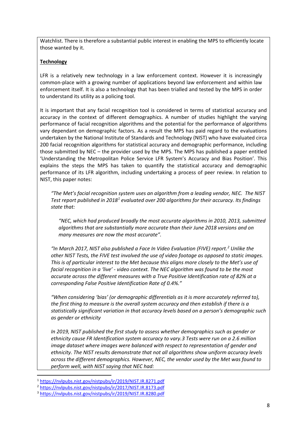Watchlist. There is therefore a substantial public interest in enabling the MPS to efficiently locate those wanted by it.

#### **Technology**

LFR is a relatively new technology in a law enforcement context. However it is increasingly common-place with a growing number of applications beyond law enforcement and within law enforcement itself. It is also a technology that has been trialled and tested by the MPS in order to understand its utility as a policing tool.

It is important that any facial recognition tool is considered in terms of statistical accuracy and accuracy in the context of different demographics. A number of studies highlight the varying performance of facial recognition algorithms and the potential for the performance of algorithms vary dependant on demographic factors. As a result the MPS has paid regard to the evaluations undertaken by the National Institute of Standards and Technology (NIST) who have evaluated circa 200 facial recognition algorithms for statistical accuracy and demographic performance, including those submitted by NEC – the provider used by the MPS. The MPS has published a paper entitled 'Understanding the Metropolitan Police Service LFR System's Accuracy and Bias Position'. This explains the steps the MPS has taken to quantify the statistical accuracy and demographic performance of its LFR algorithm, including undertaking a process of peer review. In relation to NIST, this paper notes:

*"The Met's facial recognition system uses an algorithm from a leading vendor, NEC. The NIST Test report published in 2018[1](#page-7-0) evaluated over 200 algorithms for their accuracy. Its findings state that:*

*"NEC, which had produced broadly the most accurate algorithms in 2010, 2013, submitted algorithms that are substantially more accurate than their June 2018 versions and on many measures are now the most accurate".*

*"In March 2017, NIST also published a Face In Video Evaluation (FIVE) report.[2](#page-7-1) Unlike the other NIST Tests, the FIVE test involved the use of video footage as opposed to static images. This is of particular interest to the Met because this aligns more closely to the Met's use of facial recognition in a 'live' - video context. The NEC algorithm was found to be the most accurate across the different measures with a True Positive Identification rate of 82% at a corresponding False Positive Identification Rate of 0.4%."*

*"When considering 'bias' (or demographic differentials as it is more accurately referred to), the first thing to measure is the overall system accuracy and then establish if there is a statistically significant variation in that accuracy levels based on a person's demographic such as gender or ethnicity*

*In 2019, NIST published the first study to assess whether demographics such as gender or ethnicity cause FR Identification system accuracy to vary.[3](#page-7-2) Tests were run on a 2.6 million image dataset where images were balanced with respect to representation of gender and ethnicity. The NIST results demonstrate that not all algorithms show uniform accuracy levels across the different demographics. However, NEC, the vendor used by the Met was found to perform well, with NIST saying that NEC had:*

<span id="page-7-0"></span> <sup>1</sup> <https://nvlpubs.nist.gov/nistpubs/ir/2019/NIST.IR.8271.pdf>

<span id="page-7-1"></span><sup>2</sup> <https://nvlpubs.nist.gov/nistpubs/ir/2017/NIST.IR.8173.pdf>

<span id="page-7-2"></span><sup>3</sup> <https://nvlpubs.nist.gov/nistpubs/ir/2019/NIST.IR.8280.pdf>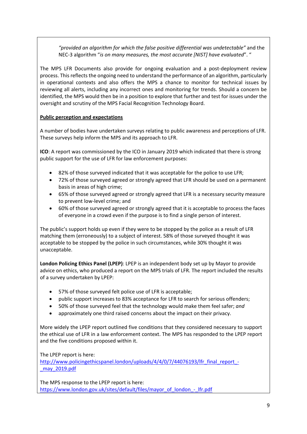*"provided an algorithm for which the false positive differential was undetectable"* and the NEC-3 algorithm "*is on many measures, the most accurate [NIST] have evaluated*". "

The MPS LFR Documents also provide for ongoing evaluation and a post-deployment review process. This reflects the ongoing need to understand the performance of an algorithm, particularly in operational contexts and also offers the MPS a chance to monitor for technical issues by reviewing all alerts, including any incorrect ones and monitoring for trends. Should a concern be identified, the MPS would then be in a position to explore that further and test for issues under the oversight and scrutiny of the MPS Facial Recognition Technology Board.

#### **Public perception and expectations**

A number of bodies have undertaken surveys relating to public awareness and perceptions of LFR. These surveys help inform the MPS and its approach to LFR.

**ICO**: A report was commissioned by the ICO in January 2019 which indicated that there is strong public support for the use of LFR for law enforcement purposes:

- 82% of those surveyed indicated that it was acceptable for the police to use LFR;
- 72% of those surveyed agreed or strongly agreed that LFR should be used on a permanent basis in areas of high crime;
- 65% of those surveyed agreed or strongly agreed that LFR is a necessary security measure to prevent low-level crime; and
- 60% of those surveyed agreed or strongly agreed that it is acceptable to process the faces of everyone in a crowd even if the purpose is to find a single person of interest.

The public's support holds up even if they were to be stopped by the police as a result of LFR matching them (erroneously) to a subject of interest. 58% of those surveyed thought it was acceptable to be stopped by the police in such circumstances, while 30% thought it was unacceptable.

**London Policing Ethics Panel (LPEP)**: LPEP is an independent body set up by Mayor to provide advice on ethics, who produced a report on the MPS trials of LFR. The report included the results of a survey undertaken by LPEP:

- 57% of those surveyed felt police use of LFR is acceptable;
- public support increases to 83% acceptance for LFR to search for serious offenders;
- 50% of those surveyed feel that the technology would make them feel safer; *and*
- approximately one third raised concerns about the impact on their privacy.

More widely the LPEP report outlined five conditions that they considered necessary to support the ethical use of LFR in a law enforcement context. The MPS has responded to the LPEP report and the five conditions proposed within it.

The LPEP report is here:

[http://www.policingethicspanel.london/uploads/4/4/0/7/44076193/lfr\\_final\\_report\\_-](http://www.policingethicspanel.london/uploads/4/4/0/7/44076193/lfr_final_report_-_may_2019.pdf) [\\_may\\_2019.pdf](http://www.policingethicspanel.london/uploads/4/4/0/7/44076193/lfr_final_report_-_may_2019.pdf)

The MPS response to the LPEP report is here: https://www.london.gov.uk/sites/default/files/mayor\_of\_london\_-\_lfr.pdf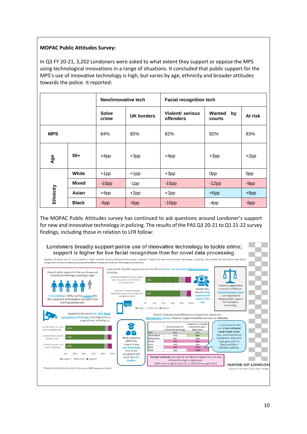#### **MOPAC Public Attitudes Survey:**

In Q3 FY 20-21, 3,202 Londoners were asked to what extent they support or oppose the MPS using technological innovations in a range of situations. It concluded that public support for the MPS's use of innovative technology is high, but varies by age, ethnicity and broader attitudes towards the police. It reported:

|            |              | New/innovative tech   |                   | <b>Facial recognition tech</b>              |                        |         |  |
|------------|--------------|-----------------------|-------------------|---------------------------------------------|------------------------|---------|--|
|            |              | <b>Solve</b><br>crime | <b>UK borders</b> | <b>Violent/ serious</b><br><b>offenders</b> | Wanted<br>by<br>courts | At risk |  |
| <b>MPS</b> |              | 84%                   | 85%               | 82%                                         | 82%                    | 83%     |  |
| Age        | $55+$        | $+4pp$                | $+3pp$            | $+4pp$                                      | $+3pp$                 | $+2pp$  |  |
|            | White        | $+1$ pp               | $+1$ pp           | $+3pp$                                      | 0pp                    | 0pp     |  |
|            | <b>Mixed</b> | $-10pp$               | $-1$ pp           | $-15pp$                                     | $-12pp$                | $-9pp$  |  |
| Ethnicity  | Asian        | $+4$ pp               | $+2pp$            | $+2pp$                                      | $+6$ pp                | $+8pp$  |  |
|            | <b>Black</b> | $-6$ pp               | $-6$ pp           | $-10pp$                                     | $-4pp$                 | $-6$ pp |  |

The MOPAC Public Attitudes survey has continued to ask questions around Londoner's support for new and innovative technology in policing. The results of the PAS Q3 20-21 to Q1 21-22 survey findings, including those in relation to LFR follow:

Londoners broadly support police use of innovative technology to tackle crime; support is higher for live facial recognition than for novel data processing.

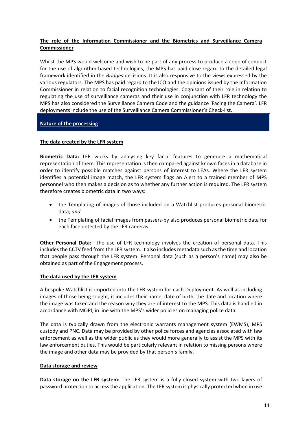#### **The role of the Information Commissioner and the Biometrics and Surveillance Camera Commissioner**

Whilst the MPS would welcome and wish to be part of any process to produce a code of conduct for the use of algorithm-based technologies, the MPS has paid close regard to the detailed legal framework identified in the *Bridges* decisions. It is also responsive to the views expressed by the various regulators. The MPS has paid regard to the ICO and the opinions issued by the Information Commissioner in relation to facial recognition technologies. Cognisant of their role in relation to regulating the use of surveillance cameras and their use in conjunction with LFR technology the MPS has also considered the Surveillance Camera Code and the guidance 'Facing the Camera'. LFR deployments include the use of the Surveillance Camera Commissioner's Check-list.

#### **Nature of the processing**

#### **The data created by the LFR system**

**Biometric Data:** LFR works by analysing key facial features to generate a mathematical representation of them. This representation is then compared against known faces in a database in order to identify possible matches against persons of interest to LEAs. Where the LFR system identifies a potential image match, the LFR system flags an Alert to a trained member of MPS personnel who then makes a decision as to whether any further action is required. The LFR system therefore creates biometric data in two ways:

- the Templating of images of those included on a Watchlist produces personal biometric data; *and*
- the Templating of facial images from passers-by also produces personal biometric data for each face detected by the LFR cameras.

**Other Personal Data:** The use of LFR technology involves the creation of personal data. This includes the CCTV feed from the LFR system. It also includes metadata such as the time and location that people pass through the LFR system. Personal data (such as a person's name) may also be obtained as part of the Engagement process.

#### **The data used by the LFR system**

A bespoke Watchlist is imported into the LFR system for each Deployment. As well as including images of those being sought, it includes their name, date of birth, the date and location where the image was taken and the reason why they are of interest to the MPS. This data is handled in accordance with MOPI, in line with the MPS's wider policies on managing police data.

The data is typically drawn from the electronic warrants management system (EWMS), MPS custody and PNC. Data may be provided by other police forces and agencies associated with law enforcement as well as the wider public as they would more generally to assist the MPS with its law enforcement duties. This would be particularly relevant in relation to missing persons where the image and other data may be provided by that person's family.

#### **Data storage and review**

**Data storage on the LFR system:** The LFR system is a fully closed system with two layers of password protection to access the application. The LFR system is physically protected when in use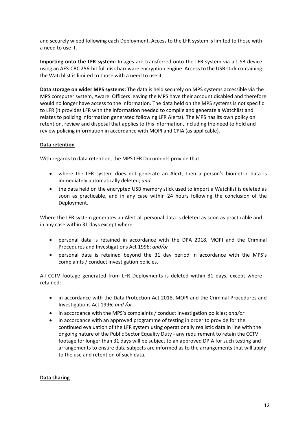and securely wiped following each Deployment. Access to the LFR system is limited to those with a need to use it.

**Importing onto the LFR system:** Images are transferred onto the LFR system via a USB device using an AES-CBC 256-bit full disk hardware encryption engine. Access to the USB stick containing the Watchlist is limited to those with a need to use it.

**Data storage on wider MPS systems:** The data is held securely on MPS systems accessible via the MPS computer system, Aware. Officers leaving the MPS have their account disabled and therefore would no longer have access to the information. The data held on the MPS systems is not specific to LFR (it provides LFR with the information needed to compile and generate a Watchlist and relates to policing information generated following LFR Alerts). The MPS has its own policy on retention, review and disposal that applies to this information, including the need to hold and review policing information in accordance with MOPI and CPIA (as applicable).

#### **Data retention**

With regards to data retention, the MPS LFR Documents provide that:

- where the LFR system does not generate an Alert, then a person's biometric data is immediately automatically deleted; *and*
- the data held on the encrypted USB memory stick used to import a Watchlist is deleted as soon as practicable, and in any case within 24 hours following the conclusion of the Deployment.

Where the LFR system generates an Alert all personal data is deleted as soon as practicable and in any case within 31 days except where:

- personal data is retained in accordance with the DPA 2018, MOPI and the Criminal Procedures and Investigations Act 1996; *and/or*
- personal data is retained beyond the 31 day period in accordance with the MPS's complaints / conduct investigation policies.

All CCTV footage generated from LFR Deployments is deleted within 31 days, except where retained:

- in accordance with the Data Protection Act 2018, MOPI and the Criminal Procedures and Investigations Act 1996; *and /or*
- in accordance with the MPS's complaints / conduct investigation policies; *and/or*
- in accordance with an approved programme of testing in order to provide for the continued evaluation of the LFR system using operationally realistic data in line with the ongoing nature of the Public Sector Equality Duty - any requirement to retain the CCTV footage for longer than 31 days will be subject to an approved DPIA for such testing and arrangements to ensure data subjects are informed as to the arrangements that will apply to the use and retention of such data.

#### **Data sharing**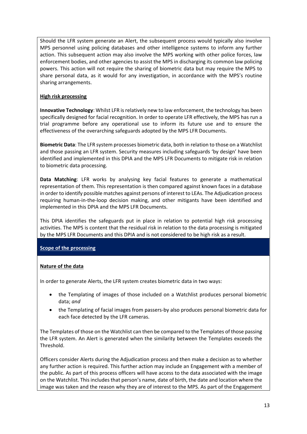Should the LFR system generate an Alert, the subsequent process would typically also involve MPS personnel using policing databases and other intelligence systems to inform any further action. This subsequent action may also involve the MPS working with other police forces, law enforcement bodies, and other agencies to assist the MPS in discharging its common law policing powers. This action will not require the sharing of biometric data but may require the MPS to share personal data, as it would for any investigation, in accordance with the MPS's routine sharing arrangements.

#### **High risk processing**

**Innovative Technology**: Whilst LFR is relatively new to law enforcement, the technology has been specifically designed for facial recognition. In order to operate LFR effectively, the MPS has run a trial programme before any operational use to inform its future use and to ensure the effectiveness of the overarching safeguards adopted by the MPS LFR Documents.

**Biometric Data**: The LFR system processes biometric data, both in relation to those on a Watchlist and those passing an LFR system. Security measures including safeguards 'by design' have been identified and implemented in this DPIA and the MPS LFR Documents to mitigate risk in relation to biometric data processing.

**Data Matching**: LFR works by analysing key facial features to generate a mathematical representation of them. This representation is then compared against known faces in a database in order to identify possible matches against persons of interest to LEAs. The Adjudication process requiring human-in-the-loop decision making, and other mitigants have been identified and implemented in this DPIA and the MPS LFR Documents.

This DPIA identifies the safeguards put in place in relation to potential high risk processing activities. The MPS is content that the residual risk in relation to the data processing is mitigated by the MPS LFR Documents and this DPIA and is not considered to be high risk as a result.

**Scope of the processing**

#### **Nature of the data**

In order to generate Alerts, the LFR system creates biometric data in two ways:

- the Templating of images of those included on a Watchlist produces personal biometric data; *and*
- the Templating of facial images from passers-by also produces personal biometric data for each face detected by the LFR cameras.

The Templates of those on the Watchlist can then be compared to the Templates of those passing the LFR system. An Alert is generated when the similarity between the Templates exceeds the Threshold.

Officers consider Alerts during the Adjudication process and then make a decision as to whether any further action is required. This further action may include an Engagement with a member of the public. As part of this process officers will have access to the data associated with the image on the Watchlist. This includes that person's name, date of birth, the date and location where the image was taken and the reason why they are of interest to the MPS. As part of the Engagement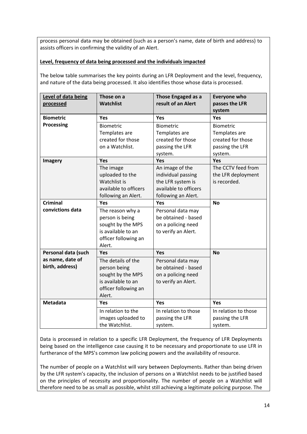process personal data may be obtained (such as a person's name, date of birth and address) to assists officers in confirming the validity of an Alert.

#### **Level, frequency of data being processed and the individuals impacted**

The below table summarises the key points during an LFR Deployment and the level, frequency, and nature of the data being processed. It also identifies those whose data is processed.

| Level of data being<br>processed | Those on a<br><b>Watchlist</b> | Those Engaged as a<br>result of an Alert | <b>Everyone who</b><br>passes the LFR<br>system |
|----------------------------------|--------------------------------|------------------------------------------|-------------------------------------------------|
| <b>Biometric</b>                 | <b>Yes</b>                     | Yes                                      | <b>Yes</b>                                      |
| <b>Processing</b>                | <b>Biometric</b>               | <b>Biometric</b>                         | <b>Biometric</b>                                |
|                                  | Templates are                  | Templates are                            | Templates are                                   |
|                                  | created for those              | created for those                        | created for those                               |
|                                  | on a Watchlist.                | passing the LFR                          | passing the LFR                                 |
|                                  |                                | system.                                  | system.                                         |
| <b>Imagery</b>                   | <b>Yes</b>                     | Yes                                      | Yes                                             |
|                                  | The image                      | An image of the                          | The CCTV feed from                              |
|                                  | uploaded to the                | individual passing                       | the LFR deployment                              |
|                                  | Watchlist is                   | the LFR system is                        | is recorded.                                    |
|                                  | available to officers          | available to officers                    |                                                 |
|                                  | following an Alert.            | following an Alert.                      |                                                 |
| <b>Criminal</b>                  | Yes                            | Yes                                      | <b>No</b>                                       |
| convictions data                 | The reason why a               | Personal data may                        |                                                 |
|                                  | person is being                | be obtained - based                      |                                                 |
|                                  | sought by the MPS              | on a policing need                       |                                                 |
|                                  | is available to an             | to verify an Alert.                      |                                                 |
|                                  | officer following an           |                                          |                                                 |
|                                  | Alert.                         |                                          |                                                 |
| Personal data (such              | Yes                            | Yes                                      | <b>No</b>                                       |
| as name, date of                 | The details of the             | Personal data may                        |                                                 |
| birth, address)                  | person being                   | be obtained - based                      |                                                 |
|                                  | sought by the MPS              | on a policing need                       |                                                 |
|                                  | is available to an             | to verify an Alert.                      |                                                 |
|                                  | officer following an           |                                          |                                                 |
|                                  | Alert.                         |                                          |                                                 |
| <b>Metadata</b>                  | Yes.                           | Yes                                      | Yes                                             |
|                                  | In relation to the             | In relation to those                     | In relation to those                            |
|                                  | images uploaded to             | passing the LFR                          | passing the LFR                                 |
|                                  | the Watchlist.                 | system.                                  | system.                                         |

Data is processed in relation to a specific LFR Deployment, the frequency of LFR Deployments being based on the intelligence case causing it to be necessary and proportionate to use LFR in furtherance of the MPS's common law policing powers and the availability of resource.

The number of people on a Watchlist will vary between Deployments. Rather than being driven by the LFR system's capacity, the inclusion of persons on a Watchlist needs to be justified based on the principles of necessity and proportionality. The number of people on a Watchlist will therefore need to be as small as possible, whilst still achieving a legitimate policing purpose. The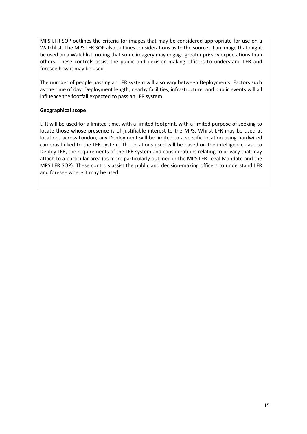MPS LFR SOP outlines the criteria for images that may be considered appropriate for use on a Watchlist. The MPS LFR SOP also outlines considerations as to the source of an image that might be used on a Watchlist, noting that some imagery may engage greater privacy expectations than others. These controls assist the public and decision-making officers to understand LFR and foresee how it may be used.

The number of people passing an LFR system will also vary between Deployments. Factors such as the time of day, Deployment length, nearby facilities, infrastructure, and public events will all influence the footfall expected to pass an LFR system.

#### **Geographical scope**

LFR will be used for a limited time, with a limited footprint, with a limited purpose of seeking to locate those whose presence is of justifiable interest to the MPS. Whilst LFR may be used at locations across London, any Deployment will be limited to a specific location using hardwired cameras linked to the LFR system. The locations used will be based on the intelligence case to Deploy LFR, the requirements of the LFR system and considerations relating to privacy that may attach to a particular area (as more particularly outlined in the MPS LFR Legal Mandate and the MPS LFR SOP). These controls assist the public and decision-making officers to understand LFR and foresee where it may be used.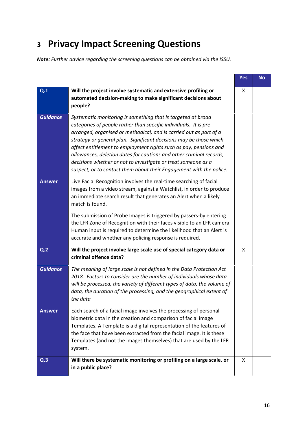# <span id="page-15-0"></span>**<sup>3</sup> Privacy Impact Screening Questions**

*Note: Further advice regarding the screening questions can be obtained via the ISSU.*

|                                                                                                                                                                                                                                                    |                                                                                                                                                                                                                                                                                                                                                                                                                                                                                                                                                                   | <b>Yes</b> | <b>No</b> |
|----------------------------------------------------------------------------------------------------------------------------------------------------------------------------------------------------------------------------------------------------|-------------------------------------------------------------------------------------------------------------------------------------------------------------------------------------------------------------------------------------------------------------------------------------------------------------------------------------------------------------------------------------------------------------------------------------------------------------------------------------------------------------------------------------------------------------------|------------|-----------|
| Q.1                                                                                                                                                                                                                                                | Will the project involve systematic and extensive profiling or<br>automated decision-making to make significant decisions about<br>people?                                                                                                                                                                                                                                                                                                                                                                                                                        | X          |           |
| <b>Guidance</b>                                                                                                                                                                                                                                    | Systematic monitoring is something that is targeted at broad<br>categories of people rather than specific individuals. It is pre-<br>arranged, organised or methodical, and is carried out as part of a<br>strategy or general plan. Significant decisions may be those which<br>affect entitlement to employment rights such as pay, pensions and<br>allowances, deletion dates for cautions and other criminal records,<br>decisions whether or not to investigate or treat someone as a<br>suspect, or to contact them about their Engagement with the police. |            |           |
| Live Facial Recognition involves the real-time searching of facial<br><b>Answer</b><br>images from a video stream, against a Watchlist, in order to produce<br>an immediate search result that generates an Alert when a likely<br>match is found. |                                                                                                                                                                                                                                                                                                                                                                                                                                                                                                                                                                   |            |           |
|                                                                                                                                                                                                                                                    | The submission of Probe Images is triggered by passers-by entering<br>the LFR Zone of Recognition with their faces visible to an LFR camera.<br>Human input is required to determine the likelihood that an Alert is<br>accurate and whether any policing response is required.                                                                                                                                                                                                                                                                                   |            |           |
| Q <sub>2</sub>                                                                                                                                                                                                                                     | Will the project involve large scale use of special category data or<br>criminal offence data?                                                                                                                                                                                                                                                                                                                                                                                                                                                                    | X          |           |
| <b>Guidance</b>                                                                                                                                                                                                                                    | The meaning of large scale is not defined in the Data Protection Act<br>2018. Factors to consider are the number of individuals whose data<br>will be processed, the variety of different types of data, the volume of<br>data, the duration of the processing, and the geographical extent of<br>the data                                                                                                                                                                                                                                                        |            |           |
| <b>Answer</b>                                                                                                                                                                                                                                      | Each search of a facial image involves the processing of personal<br>biometric data in the creation and comparison of facial image<br>Templates. A Template is a digital representation of the features of<br>the face that have been extracted from the facial image. It is these<br>Templates (and not the images themselves) that are used by the LFR<br>system.                                                                                                                                                                                               |            |           |
| Q <sub>0</sub>                                                                                                                                                                                                                                     | Will there be systematic monitoring or profiling on a large scale, or<br>in a public place?                                                                                                                                                                                                                                                                                                                                                                                                                                                                       | X          |           |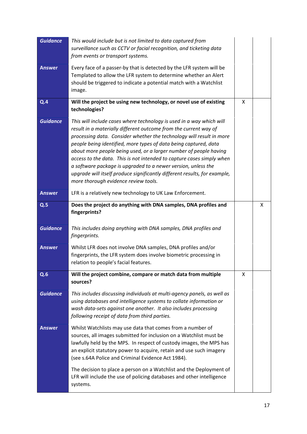| <b>Guidance</b> | This would include but is not limited to data captured from<br>surveillance such as CCTV or facial recognition, and ticketing data<br>from events or transport systems.                                                                                                                                                                                                                                                                                                                                                                                                                                                  |   |   |
|-----------------|--------------------------------------------------------------------------------------------------------------------------------------------------------------------------------------------------------------------------------------------------------------------------------------------------------------------------------------------------------------------------------------------------------------------------------------------------------------------------------------------------------------------------------------------------------------------------------------------------------------------------|---|---|
| <b>Answer</b>   | Every face of a passer-by that is detected by the LFR system will be<br>Templated to allow the LFR system to determine whether an Alert<br>should be triggered to indicate a potential match with a Watchlist<br>image.                                                                                                                                                                                                                                                                                                                                                                                                  |   |   |
| Q.4             | Will the project be using new technology, or novel use of existing<br>technologies?                                                                                                                                                                                                                                                                                                                                                                                                                                                                                                                                      | X |   |
| <b>Guidance</b> | This will include cases where technology is used in a way which will<br>result in a materially different outcome from the current way of<br>processing data. Consider whether the technology will result in more<br>people being identified, more types of data being captured, data<br>about more people being used, or a larger number of people having<br>access to the data. This is not intended to capture cases simply when<br>a software package is upgraded to a newer version, unless the<br>upgrade will itself produce significantly different results, for example,<br>more thorough evidence review tools. |   |   |
| <b>Answer</b>   | LFR is a relatively new technology to UK Law Enforcement.                                                                                                                                                                                                                                                                                                                                                                                                                                                                                                                                                                |   |   |
| Q.5             | Does the project do anything with DNA samples, DNA profiles and<br>fingerprints?                                                                                                                                                                                                                                                                                                                                                                                                                                                                                                                                         |   | x |
| <b>Guidance</b> | This includes doing anything with DNA samples, DNA profiles and<br>fingerprints.                                                                                                                                                                                                                                                                                                                                                                                                                                                                                                                                         |   |   |
| <b>Answer</b>   | Whilst LFR does not involve DNA samples, DNA profiles and/or<br>fingerprints, the LFR system does involve biometric processing in<br>relation to people's facial features.                                                                                                                                                                                                                                                                                                                                                                                                                                               |   |   |
| Q.6             | Will the project combine, compare or match data from multiple<br>sources?                                                                                                                                                                                                                                                                                                                                                                                                                                                                                                                                                | X |   |
| <b>Guidance</b> | This includes discussing individuals at multi-agency panels, as well as<br>using databases and intelligence systems to collate information or<br>wash data-sets against one another. It also includes processing<br>following receipt of data from third parties.                                                                                                                                                                                                                                                                                                                                                        |   |   |
| <b>Answer</b>   | Whilst Watchlists may use data that comes from a number of<br>sources, all images submitted for inclusion on a Watchlist must be<br>lawfully held by the MPS. In respect of custody images, the MPS has<br>an explicit statutory power to acquire, retain and use such imagery<br>(see s.64A Police and Criminal Evidence Act 1984).                                                                                                                                                                                                                                                                                     |   |   |
|                 | The decision to place a person on a Watchlist and the Deployment of<br>LFR will include the use of policing databases and other intelligence<br>systems.                                                                                                                                                                                                                                                                                                                                                                                                                                                                 |   |   |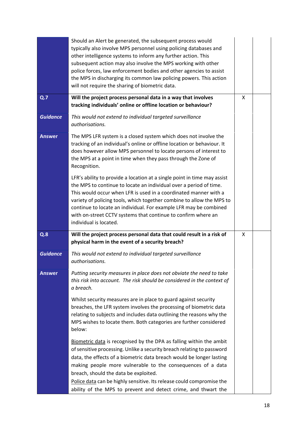|                 | Should an Alert be generated, the subsequent process would<br>typically also involve MPS personnel using policing databases and<br>other intelligence systems to inform any further action. This<br>subsequent action may also involve the MPS working with other<br>police forces, law enforcement bodies and other agencies to assist<br>the MPS in discharging its common law policing powers. This action<br>will not require the sharing of biometric data. |   |  |
|-----------------|------------------------------------------------------------------------------------------------------------------------------------------------------------------------------------------------------------------------------------------------------------------------------------------------------------------------------------------------------------------------------------------------------------------------------------------------------------------|---|--|
| Q.7             | Will the project process personal data in a way that involves<br>tracking individuals' online or offline location or behaviour?                                                                                                                                                                                                                                                                                                                                  | X |  |
| <b>Guidance</b> | This would not extend to individual targeted surveillance<br>authorisations.                                                                                                                                                                                                                                                                                                                                                                                     |   |  |
| <b>Answer</b>   | The MPS LFR system is a closed system which does not involve the<br>tracking of an individual's online or offline location or behaviour. It<br>does however allow MPS personnel to locate persons of interest to<br>the MPS at a point in time when they pass through the Zone of<br>Recognition.                                                                                                                                                                |   |  |
|                 | LFR's ability to provide a location at a single point in time may assist<br>the MPS to continue to locate an individual over a period of time.<br>This would occur when LFR is used in a coordinated manner with a<br>variety of policing tools, which together combine to allow the MPS to<br>continue to locate an individual. For example LFR may be combined<br>with on-street CCTV systems that continue to confirm where an<br>individual is located.      |   |  |
| Q.8             | Will the project process personal data that could result in a risk of<br>physical harm in the event of a security breach?                                                                                                                                                                                                                                                                                                                                        | X |  |
| <b>Guidance</b> | This would not extend to individual targeted surveillance<br>authorisations.                                                                                                                                                                                                                                                                                                                                                                                     |   |  |
| <b>Answer</b>   | Putting security measures in place does not obviate the need to take<br>this risk into account. The risk should be considered in the context of<br>a breach.                                                                                                                                                                                                                                                                                                     |   |  |
|                 |                                                                                                                                                                                                                                                                                                                                                                                                                                                                  |   |  |
|                 | Whilst security measures are in place to guard against security<br>breaches, the LFR system involves the processing of biometric data<br>relating to subjects and includes data outlining the reasons why the<br>MPS wishes to locate them. Both categories are further considered<br>below:                                                                                                                                                                     |   |  |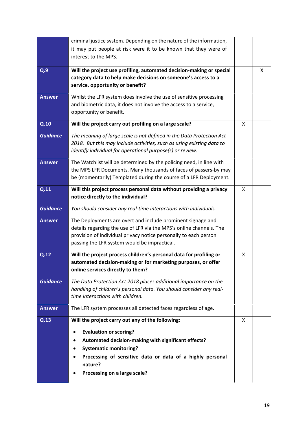|                 | criminal justice system. Depending on the nature of the information,<br>it may put people at risk were it to be known that they were of                                                                                                                |   |   |
|-----------------|--------------------------------------------------------------------------------------------------------------------------------------------------------------------------------------------------------------------------------------------------------|---|---|
|                 | interest to the MPS.                                                                                                                                                                                                                                   |   |   |
| Q.9             | Will the project use profiling, automated decision-making or special<br>category data to help make decisions on someone's access to a<br>service, opportunity or benefit?                                                                              |   | X |
| <b>Answer</b>   | Whilst the LFR system does involve the use of sensitive processing<br>and biometric data, it does not involve the access to a service,<br>opportunity or benefit.                                                                                      |   |   |
| Q.10            | Will the project carry out profiling on a large scale?                                                                                                                                                                                                 | X |   |
| <b>Guidance</b> | The meaning of large scale is not defined in the Data Protection Act<br>2018. But this may include activities, such as using existing data to<br>identify individual for operational purpose(s) or review.                                             |   |   |
| <b>Answer</b>   | The Watchlist will be determined by the policing need, in line with<br>the MPS LFR Documents. Many thousands of faces of passers-by may<br>be (momentarily) Templated during the course of a LFR Deployment.                                           |   |   |
| Q.11            | Will this project process personal data without providing a privacy<br>notice directly to the individual?                                                                                                                                              | X |   |
| <b>Guidance</b> | You should consider any real-time interactions with individuals.                                                                                                                                                                                       |   |   |
| <b>Answer</b>   | The Deployments are overt and include prominent signage and<br>details regarding the use of LFR via the MPS's online channels. The<br>provision of individual privacy notice personally to each person<br>passing the LFR system would be impractical. |   |   |
| Q.12            | Will the project process children's personal data for profiling or<br>automated decision-making or for marketing purposes, or offer<br>online services directly to them?                                                                               | X |   |
| <b>Guidance</b> | The Data Protection Act 2018 places additional importance on the<br>handling of children's personal data. You should consider any real-<br>time interactions with children.                                                                            |   |   |
| <b>Answer</b>   | The LFR system processes all detected faces regardless of age.                                                                                                                                                                                         |   |   |
| Q.13            | Will the project carry out any of the following:                                                                                                                                                                                                       | X |   |
|                 | <b>Evaluation or scoring?</b><br>Automated decision-making with significant effects?<br><b>Systematic monitoring?</b><br>Processing of sensitive data or data of a highly personal<br>nature?<br>Processing on a large scale?                          |   |   |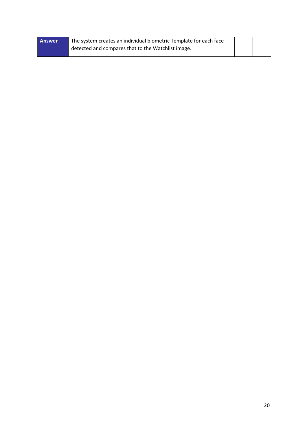| Answer | The system creates an individual biometric Template for each face |  |  |
|--------|-------------------------------------------------------------------|--|--|
|        | detected and compares that to the Watchlist image.                |  |  |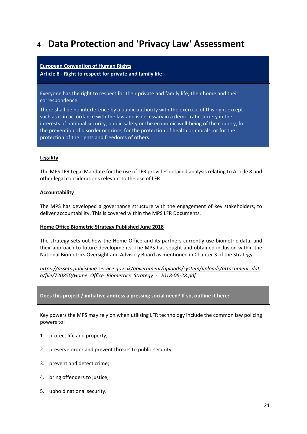### <span id="page-20-0"></span>**<sup>4</sup> Data Protection and 'Privacy Law' Assessment**

#### **European Convention of Human Rights**

**Article 8 - Right to respect for private and family life:-**

Everyone has the right to respect for their private and family life, their home and their correspondence.

There shall be no interference by a public authority with the exercise of this right except such as is in accordance with the law and is necessary in a democratic society in the interests of national security, public safety or the economic well-being of the country, for the prevention of disorder or crime, for the protection of health or morals, or for the protection of the rights and freedoms of others.

#### **Legality**

The MPS LFR Legal Mandate for the use of LFR provides detailed analysis relating to Article 8 and other legal considerations relevant to the use of LFR.

#### **Accountability**

The MPS has developed a governance structure with the engagement of key stakeholders, to deliver accountability. This is covered within the MPS LFR Documents.

#### **Home Office Biometric Strategy Published June 2018**

The strategy sets out how the Home Office and its partners currently use biometric data, and their approach to future developments. The MPS has sought and obtained inclusion within the National Biometrics Oversight and Advisory Board as mentioned in Chapter 3 of the Strategy.

*[https://assets.publishing.service.gov.uk/government/uploads/system/uploads/attachment\\_dat](https://assets.publishing.service.gov.uk/government/uploads/system/uploads/attachment_data/file/720850/Home_Office_Biometrics_Strategy_-_2018-06-28.pdf) [a/file/720850/Home\\_Office\\_Biometrics\\_Strategy\\_-\\_2018-06-28.pdf](https://assets.publishing.service.gov.uk/government/uploads/system/uploads/attachment_data/file/720850/Home_Office_Biometrics_Strategy_-_2018-06-28.pdf)*

#### **Does this project / initiative address a pressing social need? If so, outline it here:**

Key powers the MPS may rely on when utilising LFR technology include the common law policing powers to:

- 1. protect life and property;
- 2. preserve order and prevent threats to public security;
- 3. prevent and detect crime;
- 4. bring offenders to justice;
- 5. uphold national security.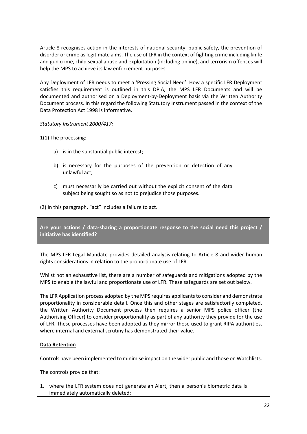Article 8 recognises action in the interests of national security, public safety, the prevention of disorder or crime as legitimate aims. The use of LFR in the context of fighting crime including knife and gun crime, child sexual abuse and exploitation (including online), and terrorism offences will help the MPS to achieve its law enforcement purposes.

Any Deployment of LFR needs to meet a 'Pressing Social Need'. How a specific LFR Deployment satisfies this requirement is outlined in this DPIA, the MPS LFR Documents and will be documented and authorised on a Deployment-by-Deployment basis via the Written Authority Document process. In this regard the following Statutory Instrument passed in the context of the Data Protection Act 1998 is informative.

*Statutory Instrument 2000/417:*

1(1) The processing:

- a) is in the substantial public interest;
- b) is necessary for the purposes of the prevention or detection of any unlawful act;
- c) must necessarily be carried out without the explicit consent of the data subject being sought so as not to prejudice those purposes.

(2) In this paragraph, "act" includes a failure to act.

**Are your actions / data-sharing a proportionate response to the social need this project / initiative has identified?**

The MPS LFR Legal Mandate provides detailed analysis relating to Article 8 and wider human rights considerations in relation to the proportionate use of LFR.

Whilst not an exhaustive list, there are a number of safeguards and mitigations adopted by the MPS to enable the lawful and proportionate use of LFR. These safeguards are set out below.

The LFR Application process adopted by the MPS requires applicants to consider and demonstrate proportionality in considerable detail. Once this and other stages are satisfactorily completed, the Written Authority Document process then requires a senior MPS police officer (the Authorising Officer) to consider proportionality as part of any authority they provide for the use of LFR. These processes have been adopted as they mirror those used to grant RIPA authorities, where internal and external scrutiny has demonstrated their value.

#### **Data Retention**

Controls have been implemented to minimise impact on the wider public and those on Watchlists.

The controls provide that:

1. where the LFR system does not generate an Alert, then a person's biometric data is immediately automatically deleted;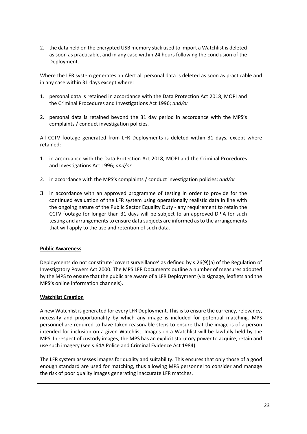2. the data held on the encrypted USB memory stick used to import a Watchlist is deleted as soon as practicable, and in any case within 24 hours following the conclusion of the Deployment.

Where the LFR system generates an Alert all personal data is deleted as soon as practicable and in any case within 31 days except where:

- 1. personal data is retained in accordance with the Data Protection Act 2018, MOPI and the Criminal Procedures and Investigations Act 1996; *and/or*
- 2. personal data is retained beyond the 31 day period in accordance with the MPS's complaints / conduct investigation policies.

All CCTV footage generated from LFR Deployments is deleted within 31 days, except where retained:

- 1. in accordance with the Data Protection Act 2018, MOPI and the Criminal Procedures and Investigations Act 1996; *and/or*
- 2. in accordance with the MPS's complaints / conduct investigation policies; *and/or*
- 3. in accordance with an approved programme of testing in order to provide for the continued evaluation of the LFR system using operationally realistic data in line with the ongoing nature of the Public Sector Equality Duty - any requirement to retain the CCTV footage for longer than 31 days will be subject to an approved DPIA for such testing and arrangements to ensure data subjects are informed as to the arrangements that will apply to the use and retention of such data.

#### **Public Awareness**

.

Deployments do not constitute `covert surveillance' as defined by s.26(9)(a) of the Regulation of Investigatory Powers Act 2000. The MPS LFR Documents outline a number of measures adopted by the MPS to ensure that the public are aware of a LFR Deployment (via signage, leaflets and the MPS's online information channels).

#### **Watchlist Creation**

A new Watchlist is generated for every LFR Deployment. This is to ensure the currency, relevancy, necessity and proportionality by which any image is included for potential matching. MPS personnel are required to have taken reasonable steps to ensure that the image is of a person intended for inclusion on a given Watchlist. Images on a Watchlist will be lawfully held by the MPS. In respect of custody images, the MPS has an explicit statutory power to acquire, retain and use such imagery (see s.64A Police and Criminal Evidence Act 1984).

The LFR system assesses images for quality and suitability. This ensures that only those of a good enough standard are used for matching, thus allowing MPS personnel to consider and manage the risk of poor quality images generating inaccurate LFR matches.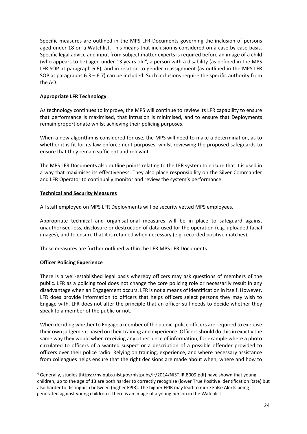Specific measures are outlined in the MPS LFR Documents governing the inclusion of persons aged under 18 on a Watchlist. This means that inclusion is considered on a case-by-case basis. Specific legal advice and input from subject matter experts is required before an image of a child (who appears to be) aged under 13 years old<sup>[4](#page-23-0)</sup>, a person with a disability (as defined in the MPS LFR SOP at paragraph 6.6), and in relation to gender reassignment (as outlined in the MPS LFR SOP at paragraphs  $6.3 - 6.7$ ) can be included. Such inclusions require the specific authority from the AO.

#### **Appropriate LFR Technology**

As technology continues to improve, the MPS will continue to review its LFR capability to ensure that performance is maximised, that intrusion is minimised, and to ensure that Deployments remain proportionate whilst achieving their policing purposes.

When a new algorithm is considered for use, the MPS will need to make a determination, as to whether it is fit for its law enforcement purposes, whilst reviewing the proposed safeguards to ensure that they remain sufficient and relevant.

The MPS LFR Documents also outline points relating to the LFR system to ensure that it is used in a way that maximises its effectiveness. They also place responsibility on the Silver Commander and LFR Operator to continually monitor and review the system's performance.

#### **Technical and Security Measures**

All staff employed on MPS LFR Deployments will be security vetted MPS employees.

Appropriate technical and organisational measures will be in place to safeguard against unauthorised loss, disclosure or destruction of data used for the operation (e.g. uploaded facial images), and to ensure that it is retained when necessary (e.g. recorded positive matches).

These measures are further outlined within the LFR MPS LFR Documents.

#### **Officer Policing Experience**

There is a well-established legal basis whereby officers may ask questions of members of the public. LFR as a policing tool does not change the core policing role or necessarily result in any disadvantage when an Engagement occurs. LFR is not a means of identification in itself. However, LFR does provide information to officers that helps officers select persons they may wish to Engage with. LFR does not alter the principle that an officer still needs to decide whether they speak to a member of the public or not.

When deciding whether to Engage a member of the public, police officers are required to exercise their own judgement based on their training and experience. Officers should do this in exactly the same way they would when receiving any other piece of information, for example where a photo circulated to officers of a wanted suspect or a description of a possible offender provided to officers over their police radio. Relying on training, experience, and where necessary assistance from colleagues helps ensure that the right decisions are made about when, where and how to

<span id="page-23-0"></span> <sup>4</sup> Generally, studies [https://nvlpubs.nist.gov/nistpubs/ir/2014/NIST.IR.8009.pdf] have shown that young children, up to the age of 13 are both harder to correctly recognise (lower True Positive Identification Rate) but also harder to distinguish between (higher FPIR). The higher FPIR may lead to more False Alerts being generated against young children if there is an image of a young person in the Watchlist.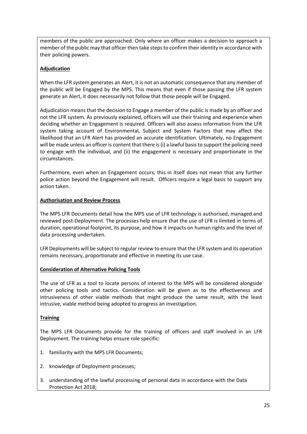members of the public are approached. Only where an officer makes a decision to approach a member of the public may that officer then take steps to confirm their identity in accordance with their policing powers.

#### **Adjudication**

When the LFR system generates an Alert, it is not an automatic consequence that any member of the public will be Engaged by the MPS. This means that even if those passing the LFR system generate an Alert, it does necessarily not follow that those people will be Engaged.

Adjudication means that the decision to Engage a member of the public is made by an officer and not the LFR system. As previously explained, officers will use their training and experience when deciding whether an Engagement is required. Officers will also assess information from the LFR system taking account of Environmental, Subject and System Factors that may affect the likelihood that an LFR Alert has provided an accurate identification. Ultimately, no Engagement will be made unless an officer is content that there is (i) a lawful basis to support the policing need to engage with the individual, and (ii) the engagement is necessary and proportionate in the circumstances.

Furthermore, even when an Engagement occurs, this in itself does not mean that any further police action beyond the Engagement will result. Officers require a legal basis to support any action taken.

#### **Authorisation and Review Process**

The MPS LFR Documents detail how the MPS use of LFR technology is authorised, managed and reviewed post-Deployment. The processes help ensure that the use of LFR is limited in terms of duration, operational footprint, its purpose, and how it impacts on human rights and the level of data processing undertaken.

LFR Deployments will be subject to regular review to ensure that the LFR system and its operation remains necessary, proportionate and effective in meeting its use case.

#### **Consideration of Alternative Policing Tools**

The use of LFR as a tool to locate persons of interest to the MPS will be considered alongside other policing tools and tactics. Consideration will be given as to the effectiveness and intrusiveness of other viable methods that might produce the same result, with the least intrusive, viable method being adopted to progress an investigation.

#### **Training**

The MPS LFR Documents provide for the training of officers and staff involved in an LFR Deployment. The training helps ensure role specific:

- 1. familiarity with the MPS LFR Documents;
- 2. knowledge of Deployment processes;
- 3. understanding of the lawful processing of personal data in accordance with the Data Protection Act 2018;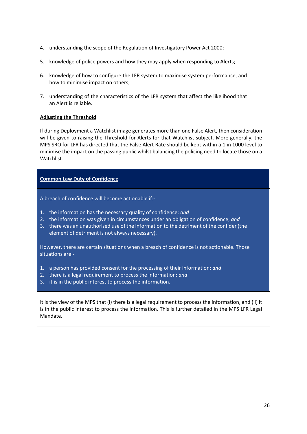- 4. understanding the scope of the Regulation of Investigatory Power Act 2000;
- 5. knowledge of police powers and how they may apply when responding to Alerts;
- 6. knowledge of how to configure the LFR system to maximise system performance, and how to minimise impact on others;
- 7. understanding of the characteristics of the LFR system that affect the likelihood that an Alert is reliable.

#### **Adjusting the Threshold**

If during Deployment a Watchlist image generates more than one False Alert, then consideration will be given to raising the Threshold for Alerts for that Watchlist subject. More generally, the MPS SRO for LFR has directed that the False Alert Rate should be kept within a 1 in 1000 level to minimise the impact on the passing public whilst balancing the policing need to locate those on a Watchlist.

#### **Common Law Duty of Confidence**

A breach of confidence will become actionable if:-

- 1. the information has the necessary quality of confidence; *and*
- 2. the information was given in circumstances under an obligation of confidence; *and*
- 3. there was an unauthorised use of the information to the detriment of the confider (the element of detriment is not always necessary).

However, there are certain situations when a breach of confidence is not actionable. Those situations are:-

- 1. a person has provided consent for the processing of their information; *and*
- 2. there is a legal requirement to process the information; *and*
- 3. it is in the public interest to process the information.

It is the view of the MPS that (i) there is a legal requirement to process the information, and (ii) it is in the public interest to process the information. This is further detailed in the MPS LFR Legal Mandate.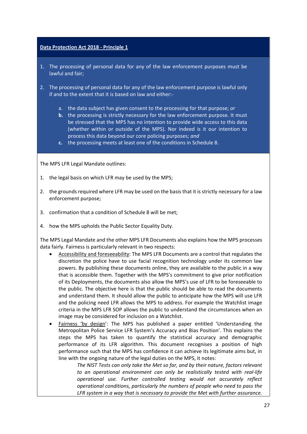#### **Data Protection Act 2018 - Principle 1**

- 1. The processing of personal data for any of the law enforcement purposes must be lawful and fair;
- 2. The processing of personal data for any of the law enforcement purpose is lawful only if and to the extent that it is based on law and either:
	- a. the data subject has given consent to the processing for that purpose; *or*
	- **b.** the processing is strictly necessary for the law enforcement purpose. It must be stressed that the MPS has no intention to provide wide access to this data (whether within or outside of the MPS). Nor indeed is it our intention to process this data beyond our core policing purposes; *and*
	- **c.** the processing meets at least one of the conditions in Schedule 8.

The MPS LFR Legal Mandate outlines:

- 1. the legal basis on which LFR may be used by the MPS;
- 2. the grounds required where LFR may be used on the basis that it is strictly necessary for a law enforcement purpose;
- 3. confirmation that a condition of Schedule 8 will be met;
- 4. how the MPS upholds the Public Sector Equality Duty.

The MPS Legal Mandate and the other MPS LFR Documents also explains how the MPS processes data fairly. Fairness is particularly relevant in two respects:

- Accessibility and foreseeability: The MPS LFR Documents are a control that regulates the discretion the police have to use facial recognition technology under its common law powers. By publishing these documents online, they are available to the public in a way that is accessible them. Together with the MPS's commitment to give prior notification of its Deployments, the documents also allow the MPS's use of LFR to be foreseeable to the public. The objective here is that the public should be able to read the documents and understand them. It should allow the public to anticipate how the MPS will use LFR and the policing need LFR allows the MPS to address. For example the Watchlist image criteria in the MPS LFR SOP allows the public to understand the circumstances when an image may be considered for inclusion on a Watchlist.
- Fairness 'by design': The MPS has published a paper entitled 'Understanding the Metropolitan Police Service LFR System's Accuracy and Bias Position'. This explains the steps the MPS has taken to quantify the statistical accuracy and demographic performance of its LFR algorithm. This document recognises a position of high performance such that the MPS has confidence it can achieve its legitimate aims but, in line with the ongoing nature of the legal duties on the MPS, it notes:

*The NIST Tests can only take the Met so far, and by their nature, factors relevant to an operational environment can only be realistically tested with real-life operational use. Further controlled testing would not accurately reflect operational conditions, particularly the numbers of people who need to pass the LFR system in a way that is necessary to provide the Met with further assurance.*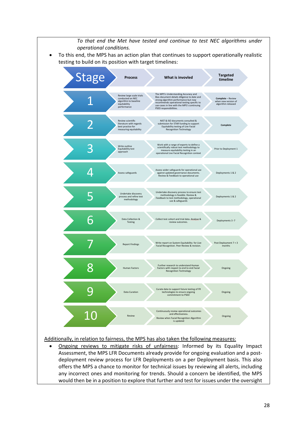

• Ongoing reviews to mitigate risks of unfairness: Informed by its Equality Impact Assessment, the MPS LFR Documents already provide for ongoing evaluation and a postdeployment review process for LFR Deployments on a per Deployment basis. This also offers the MPS a chance to monitor for technical issues by reviewing all alerts, including any incorrect ones and monitoring for trends. Should a concern be identified, the MPS would then be in a position to explore that further and test for issues under the oversight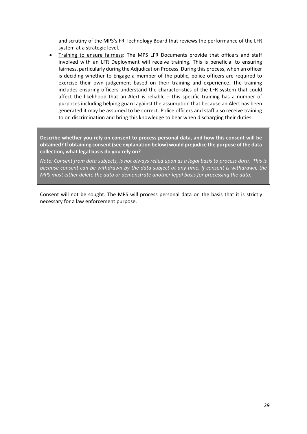and scrutiny of the MPS's FR Technology Board that reviews the performance of the LFR system at a strategic level.

• Training to ensure fairness: The MPS LFR Documents provide that officers and staff involved with an LFR Deployment will receive training. This is beneficial to ensuring fairness, particularly during the Adjudication Process. During this process, when an officer is deciding whether to Engage a member of the public, police officers are required to exercise their own judgement based on their training and experience. The training includes ensuring officers understand the characteristics of the LFR system that could affect the likelihood that an Alert is reliable – this specific training has a number of purposes including helping guard against the assumption that because an Alert has been generated it may be assumed to be correct. Police officers and staff also receive training to on discrimination and bring this knowledge to bear when discharging their duties.

**Describe whether you rely on consent to process personal data, and how this consent will be obtained? If obtaining consent (see explanation below) would prejudice the purpose of the data collection, what legal basis do you rely on?**

*Note: Consent from data subjects, is not always relied upon as a legal basis to process data. This is because consent can be withdrawn by the data subject at any time. If consent is withdrawn, the MPS must either delete the data or demonstrate another legal basis for processing the data.*

Consent will not be sought. The MPS will process personal data on the basis that it is strictly necessary for a law enforcement purpose.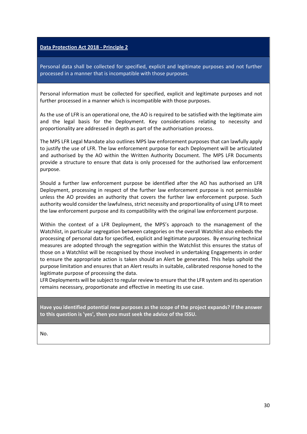#### **Data Protection Act 2018 - Principle 2**

Personal data shall be collected for specified, explicit and legitimate purposes and not further processed in a manner that is incompatible with those purposes.

Personal information must be collected for specified, explicit and legitimate purposes and not further processed in a manner which is incompatible with those purposes.

As the use of LFR is an operational one, the AO is required to be satisfied with the legitimate aim and the legal basis for the Deployment. Key considerations relating to necessity and proportionality are addressed in depth as part of the authorisation process.

The MPS LFR Legal Mandate also outlines MPS law enforcement purposes that can lawfully apply to justify the use of LFR. The law enforcement purpose for each Deployment will be articulated and authorised by the AO within the Written Authority Document. The MPS LFR Documents provide a structure to ensure that data is only processed for the authorised law enforcement purpose.

Should a further law enforcement purpose be identified after the AO has authorised an LFR Deployment, processing in respect of the further law enforcement purpose is not permissible unless the AO provides an authority that covers the further law enforcement purpose. Such authority would consider the lawfulness, strict necessity and proportionality of using LFR to meet the law enforcement purpose and its compatibility with the original law enforcement purpose.

Within the context of a LFR Deployment, the MPS's approach to the management of the Watchlist, in particular segregation between categories on the overall Watchlist also embeds the processing of personal data for specified, explicit and legitimate purposes. By ensuring technical measures are adopted through the segregation within the Watchlist this ensures the status of those on a Watchlist will be recognised by those involved in undertaking Engagements in order to ensure the appropriate action is taken should an Alert be generated. This helps uphold the purpose limitation and ensures that an Alert results in suitable, calibrated response honed to the legitimate purpose of processing the data.

LFR Deployments will be subject to regular review to ensure that the LFR system and its operation remains necessary, proportionate and effective in meeting its use case.

**Have you identified potential new purposes as the scope of the project expands? If the answer to this question is 'yes', then you must seek the advice of the ISSU.**

No.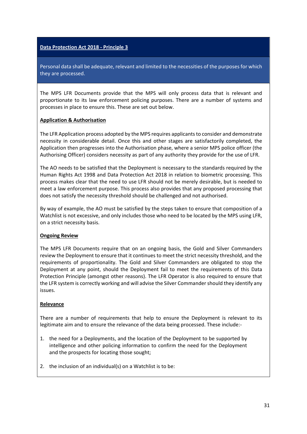#### **Data Protection Act 2018 - Principle 3**

Personal data shall be adequate, relevant and limited to the necessities of the purposes for which they are processed.

The MPS LFR Documents provide that the MPS will only process data that is relevant and proportionate to its law enforcement policing purposes. There are a number of systems and processes in place to ensure this. These are set out below.

#### **Application & Authorisation**

The LFR Application process adopted by the MPS requires applicants to consider and demonstrate necessity in considerable detail. Once this and other stages are satisfactorily completed, the Application then progresses into the Authorisation phase, where a senior MPS police officer (the Authorising Officer) considers necessity as part of any authority they provide for the use of LFR.

The AO needs to be satisfied that the Deployment is necessary to the standards required by the Human Rights Act 1998 and Data Protection Act 2018 in relation to biometric processing. This process makes clear that the need to use LFR should not be merely desirable, but is needed to meet a law enforcement purpose. This process also provides that any proposed processing that does not satisfy the necessity threshold should be challenged and not authorised.

By way of example, the AO must be satisfied by the steps taken to ensure that composition of a Watchlist is not excessive, and only includes those who need to be located by the MPS using LFR, on a strict necessity basis.

#### **Ongoing Review**

The MPS LFR Documents require that on an ongoing basis, the Gold and Silver Commanders review the Deployment to ensure that it continues to meet the strict necessity threshold, and the requirements of proportionality. The Gold and Silver Commanders are obligated to stop the Deployment at any point, should the Deployment fail to meet the requirements of this Data Protection Principle (amongst other reasons). The LFR Operator is also required to ensure that the LFR system is correctly working and will advise the Silver Commander should they identify any issues.

#### **Relevance**

There are a number of requirements that help to ensure the Deployment is relevant to its legitimate aim and to ensure the relevance of the data being processed. These include:-

- 1. the need for a Deployments, and the location of the Deployment to be supported by intelligence and other policing information to confirm the need for the Deployment and the prospects for locating those sought;
- 2. the inclusion of an individual(s) on a Watchlist is to be: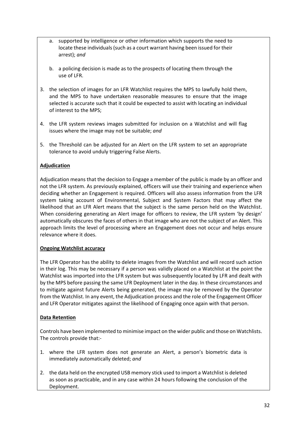- a. supported by intelligence or other information which supports the need to locate these individuals (such as a court warrant having been issued for their arrest); *and*
- b. a policing decision is made as to the prospects of locating them through the use of LFR.
- 3. the selection of images for an LFR Watchlist requires the MPS to lawfully hold them, and the MPS to have undertaken reasonable measures to ensure that the image selected is accurate such that it could be expected to assist with locating an individual of interest to the MPS;
- 4. the LFR system reviews images submitted for inclusion on a Watchlist and will flag issues where the image may not be suitable; *and*
- 5. the Threshold can be adjusted for an Alert on the LFR system to set an appropriate tolerance to avoid unduly triggering False Alerts.

#### **Adjudication**

Adjudication means that the decision to Engage a member of the public is made by an officer and not the LFR system. As previously explained, officers will use their training and experience when deciding whether an Engagement is required. Officers will also assess information from the LFR system taking account of Environmental, Subject and System Factors that may affect the likelihood that an LFR Alert means that the subject is the same person held on the Watchlist. When considering generating an Alert image for officers to review, the LFR system 'by design' automatically obscures the faces of others in that image who are not the subject of an Alert. This approach limits the level of processing where an Engagement does not occur and helps ensure relevance where it does.

#### **Ongoing Watchlist accuracy**

The LFR Operator has the ability to delete images from the Watchlist and will record such action in their log. This may be necessary if a person was validly placed on a Watchlist at the point the Watchlist was imported into the LFR system but was subsequently located by LFR and dealt with by the MPS before passing the same LFR Deployment later in the day. In these circumstances and to mitigate against future Alerts being generated, the image may be removed by the Operator from the Watchlist. In any event, the Adjudication process and the role of the Engagement Officer and LFR Operator mitigates against the likelihood of Engaging once again with that person.

#### **Data Retention**

Controls have been implemented to minimise impact on the wider public and those on Watchlists. The controls provide that:-

- 1. where the LFR system does not generate an Alert, a person's biometric data is immediately automatically deleted; *and*
- 2. the data held on the encrypted USB memory stick used to import a Watchlist is deleted as soon as practicable, and in any case within 24 hours following the conclusion of the Deployment.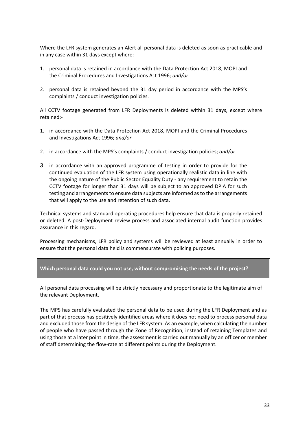Where the LFR system generates an Alert all personal data is deleted as soon as practicable and in any case within 31 days except where:-

- 1. personal data is retained in accordance with the Data Protection Act 2018, MOPI and the Criminal Procedures and Investigations Act 1996; *and/or*
- 2. personal data is retained beyond the 31 day period in accordance with the MPS's complaints / conduct investigation policies.

All CCTV footage generated from LFR Deployments is deleted within 31 days, except where retained:-

- 1. in accordance with the Data Protection Act 2018, MOPI and the Criminal Procedures and Investigations Act 1996; *and/or*
- 2. in accordance with the MPS's complaints / conduct investigation policies; *and/or*
- 3. in accordance with an approved programme of testing in order to provide for the continued evaluation of the LFR system using operationally realistic data in line with the ongoing nature of the Public Sector Equality Duty - any requirement to retain the CCTV footage for longer than 31 days will be subject to an approved DPIA for such testing and arrangements to ensure data subjects are informed as to the arrangements that will apply to the use and retention of such data.

Technical systems and standard operating procedures help ensure that data is properly retained or deleted. A post-Deployment review process and associated internal audit function provides assurance in this regard.

Processing mechanisms, LFR policy and systems will be reviewed at least annually in order to ensure that the personal data held is commensurate with policing purposes.

**Which personal data could you not use, without compromising the needs of the project?**

All personal data processing will be strictly necessary and proportionate to the legitimate aim of the relevant Deployment.

The MPS has carefully evaluated the personal data to be used during the LFR Deployment and as part of that process has positively identified areas where it does not need to process personal data and excluded those from the design of the LFR system. As an example, when calculating the number of people who have passed through the Zone of Recognition, instead of retaining Templates and using those at a later point in time, the assessment is carried out manually by an officer or member of staff determining the flow-rate at different points during the Deployment.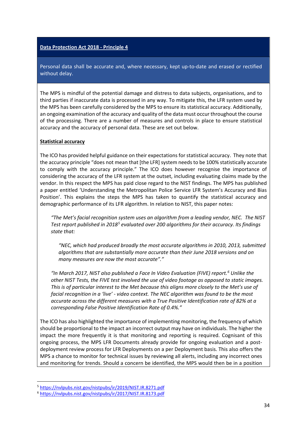#### **Data Protection Act 2018 - Principle 4**

Personal data shall be accurate and, where necessary, kept up-to-date and erased or rectified without delay.

The MPS is mindful of the potential damage and distress to data subjects, organisations, and to third parties if inaccurate data is processed in any way. To mitigate this, the LFR system used by the MPS has been carefully considered by the MPS to ensure its statistical accuracy. Additionally, an ongoing examination of the accuracy and quality of the data must occur throughout the course of the processing. There are a number of measures and controls in place to ensure statistical accuracy and the accuracy of personal data. These are set out below.

#### **Statistical accuracy**

The ICO has provided helpful guidance on their expectations for statistical accuracy. They note that the accuracy principle "does not mean that [the LFR] system needs to be 100% statistically accurate to comply with the accuracy principle." The ICO does however recognise the importance of considering the accuracy of the LFR system at the outset, including evaluating claims made by the vendor. In this respect the MPS has paid close regard to the NIST findings. The MPS has published a paper entitled 'Understanding the Metropolitan Police Service LFR System's Accuracy and Bias Position'. This explains the steps the MPS has taken to quantify the statistical accuracy and demographic performance of its LFR algorithm. In relation to NIST, this paper notes:

*"The Met's facial recognition system uses an algorithm from a leading vendor, NEC. The NIST Test report published in 2018[5](#page-33-0) evaluated over 200 algorithms for their accuracy. Its findings state that:*

*"NEC, which had produced broadly the most accurate algorithms in 2010, 2013, submitted algorithms that are substantially more accurate than their June 2018 versions and on many measures are now the most accurate"."*

*"In March 2017, NIST also published a Face In Video Evaluation (FIVE) report.[6](#page-33-1) Unlike the other NIST Tests, the FIVE test involved the use of video footage as opposed to static images. This is of particular interest to the Met because this aligns more closely to the Met's use of facial recognition in a 'live' - video context. The NEC algorithm was found to be the most accurate across the different measures with a True Positive Identification rate of 82% at a corresponding False Positive Identification Rate of 0.4%."*

The ICO has also highlighted the importance of implementing monitoring, the frequency of which should be proportional to the impact an incorrect output may have on individuals. The higher the impact the more frequently it is that monitoring and reporting is required. Cognisant of this ongoing process, the MPS LFR Documents already provide for ongoing evaluation and a postdeployment review process for LFR Deployments on a per Deployment basis. This also offers the MPS a chance to monitor for technical issues by reviewing all alerts, including any incorrect ones and monitoring for trends. Should a concern be identified, the MPS would then be in a position

<span id="page-33-0"></span> <sup>5</sup> <https://nvlpubs.nist.gov/nistpubs/ir/2019/NIST.IR.8271.pdf>

<span id="page-33-1"></span><sup>6</sup> <https://nvlpubs.nist.gov/nistpubs/ir/2017/NIST.IR.8173.pdf>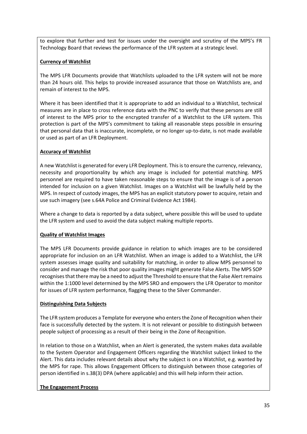to explore that further and test for issues under the oversight and scrutiny of the MPS's FR Technology Board that reviews the performance of the LFR system at a strategic level.

#### **Currency of Watchlist**

The MPS LFR Documents provide that Watchlists uploaded to the LFR system will not be more than 24 hours old. This helps to provide increased assurance that those on Watchlists are, and remain of interest to the MPS.

Where it has been identified that it is appropriate to add an individual to a Watchlist, technical measures are in place to cross reference data with the PNC to verify that these persons are still of interest to the MPS prior to the encrypted transfer of a Watchlist to the LFR system. This protection is part of the MPS's commitment to taking all reasonable steps possible in ensuring that personal data that is inaccurate, incomplete, or no longer up-to-date, is not made available or used as part of an LFR Deployment.

#### **Accuracy of Watchlist**

A new Watchlist is generated for every LFR Deployment. This is to ensure the currency, relevancy, necessity and proportionality by which any image is included for potential matching. MPS personnel are required to have taken reasonable steps to ensure that the image is of a person intended for inclusion on a given Watchlist. Images on a Watchlist will be lawfully held by the MPS. In respect of custody images, the MPS has an explicit statutory power to acquire, retain and use such imagery (see s.64A Police and Criminal Evidence Act 1984).

Where a change to data is reported by a data subject, where possible this will be used to update the LFR system and used to avoid the data subject making multiple reports.

#### **Quality of Watchlist Images**

The MPS LFR Documents provide guidance in relation to which images are to be considered appropriate for inclusion on an LFR Watchlist. When an image is added to a Watchlist, the LFR system assesses image quality and suitability for matching, in order to allow MPS personnel to consider and manage the risk that poor quality images might generate False Alerts. The MPS SOP recognises that there may be a need to adjust the Threshold to ensure that the False Alert remains within the 1:1000 level determined by the MPS SRO and empowers the LFR Operator to monitor for issues of LFR system performance, flagging these to the Silver Commander.

#### **Distinguishing Data Subjects**

The LFR system produces a Template for everyone who enters the Zone of Recognition when their face is successfully detected by the system. It is not relevant or possible to distinguish between people subject of processing as a result of their being in the Zone of Recognition.

In relation to those on a Watchlist, when an Alert is generated, the system makes data available to the System Operator and Engagement Officers regarding the Watchlist subject linked to the Alert. This data includes relevant details about why the subject is on a Watchlist, e.g. wanted by the MPS for rape. This allows Engagement Officers to distinguish between those categories of person identified in s.38(3) DPA (where applicable) and this will help inform their action.

#### **The Engagement Process**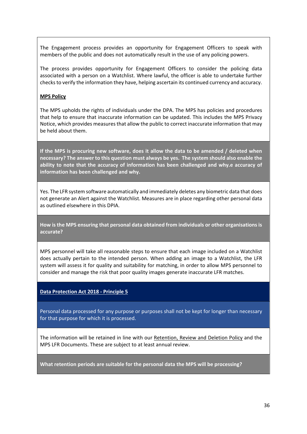The Engagement process provides an opportunity for Engagement Officers to speak with members of the public and does not automatically result in the use of any policing powers.

The process provides opportunity for Engagement Officers to consider the policing data associated with a person on a Watchlist. Where lawful, the officer is able to undertake further checks to verify the information they have, helping ascertain its continued currency and accuracy.

#### **MPS Policy**

The MPS upholds the rights of individuals under the DPA. The MPS has policies and procedures that help to ensure that inaccurate information can be updated. This includes the MPS Privacy Notice, which provides measures that allow the public to correct inaccurate information that may be held about them.

**If the MPS is procuring new software, does it allow the data to be amended / deleted when necessary? The answer to this question must always be yes. The system should also enable the ability to note that the accuracy of information has been challenged and why.e accuracy of information has been challenged and why.**

Yes. The LFR system software automatically and immediately deletes any biometric data that does not generate an Alert against the Watchlist. Measures are in place regarding other personal data as outlined elsewhere in this DPIA.

**How is the MPS ensuring that personal data obtained from individuals or other organisations is accurate?**

MPS personnel will take all reasonable steps to ensure that each image included on a Watchlist does actually pertain to the intended person. When adding an image to a Watchlist, the LFR system will assess it for quality and suitability for matching, in order to allow MPS personnel to consider and manage the risk that poor quality images generate inaccurate LFR matches.

#### **Data Protection Act 2018 - Principle 5**

Personal data processed for any purpose or purposes shall not be kept for longer than necessary for that purpose for which it is processed.

The information will be retained in line with our [Retention, Review and Deletion Policy](http://mpsweb.intranet.mps/globalassets/policy/information-management/records-management/records-management---retention-review-and-disposal-rrd-tables.pdf?id=148791) and the MPS LFR Documents. These are subject to at least annual review.

**What retention periods are suitable for the personal data the MPS will be processing?**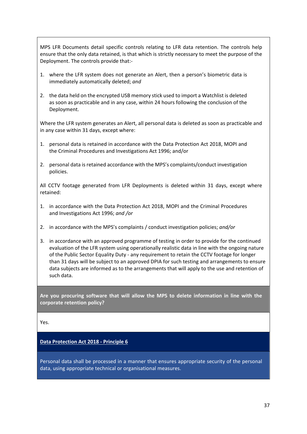MPS LFR Documents detail specific controls relating to LFR data retention. The controls help ensure that the only data retained, is that which is strictly necessary to meet the purpose of the Deployment. The controls provide that:-

- 1. where the LFR system does not generate an Alert, then a person's biometric data is immediately automatically deleted; *and*
- 2. the data held on the encrypted USB memory stick used to import a Watchlist is deleted as soon as practicable and in any case, within 24 hours following the conclusion of the Deployment.

Where the LFR system generates an Alert, all personal data is deleted as soon as practicable and in any case within 31 days, except where:

- 1. personal data is retained in accordance with the Data Protection Act 2018, MOPI and the Criminal Procedures and Investigations Act 1996; and/or
- 2. personal data is retained accordance with the MPS's complaints/conduct investigation policies.

All CCTV footage generated from LFR Deployments is deleted within 31 days, except where retained:

- 1. in accordance with the Data Protection Act 2018, MOPI and the Criminal Procedures and Investigations Act 1996; *and /or*
- 2. in accordance with the MPS's complaints / conduct investigation policies; *and/or*
- 3. in accordance with an approved programme of testing in order to provide for the continued evaluation of the LFR system using operationally realistic data in line with the ongoing nature of the Public Sector Equality Duty - any requirement to retain the CCTV footage for longer than 31 days will be subject to an approved DPIA for such testing and arrangements to ensure data subjects are informed as to the arrangements that will apply to the use and retention of such data.

**Are you procuring software that will allow the MPS to delete information in line with the corporate retention policy?**

Yes.

#### **Data Protection Act 2018 - Principle 6**

Personal data shall be processed in a manner that ensures appropriate security of the personal data, using appropriate technical or organisational measures.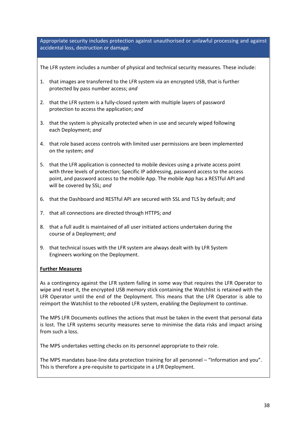Appropriate security includes protection against unauthorised or unlawful processing and against accidental loss, destruction or damage.

The LFR system includes a number of physical and technical security measures. These include:

- 1. that images are transferred to the LFR system via an encrypted USB, that is further protected by pass number access; *and*
- 2. that the LFR system is a fully-closed system with multiple layers of password protection to access the application; *and*
- 3. that the system is physically protected when in use and securely wiped following each Deployment; *and*
- 4. that role based access controls with limited user permissions are been implemented on the system; *and*
- 5. that the LFR application is connected to mobile devices using a private access point with three levels of protection; Specific IP addressing, password access to the access point, and password access to the mobile App. The mobile App has a RESTful API and will be covered by SSL; *and*
- 6. that the Dashboard and RESTful API are secured with SSL and TLS by default; *and*
- 7. that all connections are directed through HTTPS; *and*
- 8. that a full audit is maintained of all user initiated actions undertaken during the course of a Deployment; *and*
- 9. that technical issues with the LFR system are always dealt with by LFR System Engineers working on the Deployment.

#### **Further Measures**

As a contingency against the LFR system failing in some way that requires the LFR Operator to wipe and reset it, the encrypted USB memory stick containing the Watchlist is retained with the LFR Operator until the end of the Deployment. This means that the LFR Operator is able to reimport the Watchlist to the rebooted LFR system, enabling the Deployment to continue.

The MPS LFR Documents outlines the actions that must be taken in the event that personal data is lost. The LFR systems security measures serve to minimise the data risks and impact arising from such a loss.

The MPS undertakes vetting checks on its personnel appropriate to their role.

The MPS mandates base-line data protection training for all personnel – "Information and you". This is therefore a pre-requisite to participate in a LFR Deployment.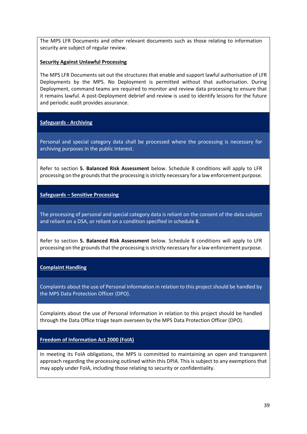The MPS LFR Documents and other relevant documents such as those relating to information security are subject of regular review.

#### **Security Against Unlawful Processing**

The MPS LFR Documents set out the structures that enable and support lawful authorisation of LFR Deployments by the MPS. No Deployment is permitted without that authorisation. During Deployment, command teams are required to monitor and review data processing to ensure that it remains lawful. A post-Deployment debrief and review is used to identify lessons for the future and periodic audit provides assurance.

#### **Safeguards - Archiving**

Personal and special category data shall be processed where the processing is necessary for archiving purposes in the public interest.

Refer to section **5. Balanced Risk Assessment** below. Schedule 8 conditions will apply to LFR processing on the grounds that the processing is strictly necessary for a law enforcement purpose.

#### **Safeguards – Sensitive Processing**

The processing of personal and special category data is reliant on the consent of the data subject and reliant on a DSA, or reliant on a condition specified in schedule 8.

Refer to section **5. Balanced Risk Assessment** below. Schedule 8 conditions will apply to LFR processing on the grounds that the processing is strictly necessary for a law enforcement purpose.

#### **Complaint Handling**

Complaints about the use of Personal Information in relation to this project should be handled by the MPS Data Protection Officer (DPO).

Complaints about the use of Personal Information in relation to this project should be handled through the Data Office triage team overseen by the MPS Data Protection Officer (DPO).

#### **Freedom of Information Act 2000 (FoIA)**

In meeting its FoIA obligations, the MPS is committed to maintaining an open and transparent approach regarding the processing outlined within this DPIA. This is subject to any exemptions that may apply under FoIA, including those relating to security or confidentiality.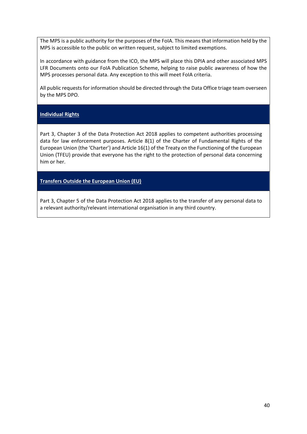The MPS is a public authority for the purposes of the FoIA. This means that information held by the MPS is accessible to the public on written request, subject to limited exemptions.

In accordance with guidance from the ICO, the MPS will place this DPIA and other associated MPS LFR Documents onto our FoIA Publication Scheme, helping to raise public awareness of how the MPS processes personal data. Any exception to this will meet FoIA criteria.

All public requests for information should be directed through the Data Office triage team overseen by the MPS DPO.

#### **Individual Rights**

Part 3, Chapter 3 of the Data Protection Act 2018 applies to competent authorities processing data for law enforcement purposes. Article 8(1) of the Charter of Fundamental Rights of the European Union (the 'Charter') and Article 16(1) of the Treaty on the Functioning of the European Union (TFEU) provide that everyone has the right to the protection of personal data concerning him or her.

**Transfers Outside the European Union (EU)**

Part 3, Chapter 5 of the Data Protection Act 2018 applies to the transfer of any personal data to a relevant authority/relevant international organisation in any third country.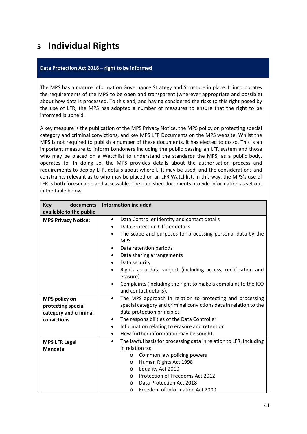### <span id="page-40-0"></span>**<sup>5</sup> Individual Rights**

#### **Data Protection Act 2018 – right to be informed**

The MPS has a mature Information Governance Strategy and Structure in place. It incorporates the requirements of the MPS to be open and transparent (wherever appropriate and possible) about how data is processed. To this end, and having considered the risks to this right posed by the use of LFR, the MPS has adopted a number of measures to ensure that the right to be informed is upheld.

A key measure is the publication of the MPS Privacy Notice, the MPS policy on protecting special category and criminal convictions, and key MPS LFR Documents on the MPS website. Whilst the MPS is not required to publish a number of these documents, it has elected to do so. This is an important measure to inform Londoners including the public passing an LFR system and those who may be placed on a Watchlist to understand the standards the MPS, as a public body, operates to. In doing so, the MPS provides details about the authorisation process and requirements to deploy LFR, details about where LFR may be used, and the considerations and constraints relevant as to who may be placed on an LFR Watchlist. In this way, the MPS's use of LFR is both foreseeable and assessable. The published documents provide information as set out in the table below.

| documents<br><b>Key</b><br>available to the public                                 | <b>Information included</b>                                                                                                                                                                                                                                                                                                                                                                                                                                          |
|------------------------------------------------------------------------------------|----------------------------------------------------------------------------------------------------------------------------------------------------------------------------------------------------------------------------------------------------------------------------------------------------------------------------------------------------------------------------------------------------------------------------------------------------------------------|
| <b>MPS Privacy Notice:</b>                                                         | Data Controller identity and contact details<br>$\bullet$<br>Data Protection Officer details<br>$\bullet$<br>The scope and purposes for processing personal data by the<br><b>MPS</b><br>Data retention periods<br>$\bullet$<br>Data sharing arrangements<br>$\bullet$<br>Data security<br>٠<br>Rights as a data subject (including access, rectification and<br>erasure)<br>Complaints (including the right to make a complaint to the ICO<br>and contact details). |
| <b>MPS policy on</b><br>protecting special<br>category and criminal<br>convictions | The MPS approach in relation to protecting and processing<br>$\bullet$<br>special category and criminal convictions data in relation to the<br>data protection principles<br>The responsibilities of the Data Controller<br>٠<br>Information relating to erasure and retention<br>$\bullet$<br>How further information may be sought.<br>$\bullet$                                                                                                                   |
| <b>MPS LFR Legal</b><br><b>Mandate</b>                                             | The lawful basis for processing data in relation to LFR. Including<br>$\bullet$<br>in relation to:<br>Common law policing powers<br>O<br>Human Rights Act 1998<br>$\circ$<br>Equality Act 2010<br>$\circ$<br>Protection of Freedoms Act 2012<br>$\circ$<br>Data Protection Act 2018<br>$\circ$<br>Freedom of Information Act 2000<br>$\circ$                                                                                                                         |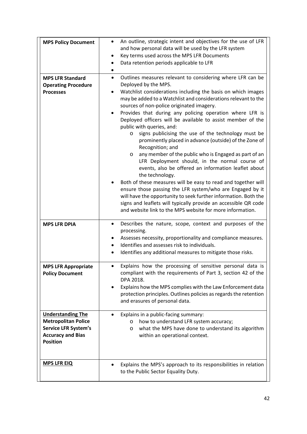| <b>MPS Policy Document</b><br><b>MPS LFR Standard</b>                                                                                | An outline, strategic intent and objectives for the use of LFR<br>$\bullet$<br>and how personal data will be used by the LFR system<br>Key terms used across the MPS LFR Documents<br>$\bullet$<br>Data retention periods applicable to LFR<br>٠<br>Outlines measures relevant to considering where LFR can be<br>$\bullet$                                                                                                                                                                                                                                                                                                                                                                                                                                                                                                                                                                                                                                                                                                                   |
|--------------------------------------------------------------------------------------------------------------------------------------|-----------------------------------------------------------------------------------------------------------------------------------------------------------------------------------------------------------------------------------------------------------------------------------------------------------------------------------------------------------------------------------------------------------------------------------------------------------------------------------------------------------------------------------------------------------------------------------------------------------------------------------------------------------------------------------------------------------------------------------------------------------------------------------------------------------------------------------------------------------------------------------------------------------------------------------------------------------------------------------------------------------------------------------------------|
| <b>Operating Procedure</b><br><b>Processes</b>                                                                                       | Deployed by the MPS.<br>Watchlist considerations including the basis on which images<br>may be added to a Watchlist and considerations relevant to the<br>sources of non-police originated imagery.<br>Provides that during any policing operation where LFR is<br>Deployed officers will be available to assist member of the<br>public with queries, and:<br>signs publicising the use of the technology must be<br>$\circ$<br>prominently placed in advance (outside) of the Zone of<br>Recognition; and<br>any member of the public who is Engaged as part of an<br>$\circ$<br>LFR Deployment should, in the normal course of<br>events, also be offered an information leaflet about<br>the technology.<br>Both of these measures will be easy to read and together will<br>ensure those passing the LFR system/who are Engaged by it<br>will have the opportunity to seek further information. Both the<br>signs and leaflets will typically provide an accessible QR code<br>and website link to the MPS website for more information. |
| <b>MPS LFR DPIA</b>                                                                                                                  | Describes the nature, scope, context and purposes of the<br>٠<br>processing.<br>Assesses necessity, proportionality and compliance measures.<br>Identifies and assesses risk to individuals.<br>Identifies any additional measures to mitigate those risks.                                                                                                                                                                                                                                                                                                                                                                                                                                                                                                                                                                                                                                                                                                                                                                                   |
| <b>MPS LFR Appropriate</b><br><b>Policy Document</b>                                                                                 | Explains how the processing of sensitive personal data is<br>compliant with the requirements of Part 3, section 42 of the<br>DPA 2018.<br>Explains how the MPS complies with the Law Enforcement data<br>٠<br>protection principles. Outlines policies as regards the retention<br>and erasures of personal data.                                                                                                                                                                                                                                                                                                                                                                                                                                                                                                                                                                                                                                                                                                                             |
| <b>Understanding The</b><br><b>Metropolitan Police</b><br><b>Service LFR System's</b><br><b>Accuracy and Bias</b><br><b>Position</b> | Explains in a public-facing summary:<br>how to understand LFR system accuracy;<br>$\circ$<br>what the MPS have done to understand its algorithm<br>O<br>within an operational context.                                                                                                                                                                                                                                                                                                                                                                                                                                                                                                                                                                                                                                                                                                                                                                                                                                                        |
| <b>MPS LFR EIQ</b>                                                                                                                   | Explains the MPS's approach to its responsibilities in relation<br>$\bullet$<br>to the Public Sector Equality Duty.                                                                                                                                                                                                                                                                                                                                                                                                                                                                                                                                                                                                                                                                                                                                                                                                                                                                                                                           |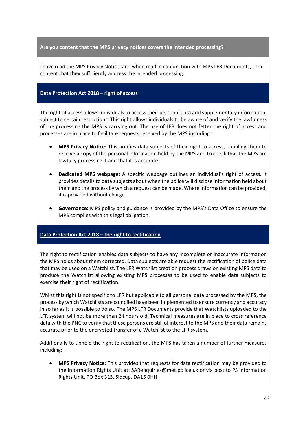**Are you content that the MPS privacy notices covers the intended processing?**

I have read the [MPS Privacy Notice,](https://www.met.police.uk/SysSiteAssets/foi-media/metropolitan-police/other_information/corporate/strategy--governance---mps-privacy-notice-statement) and when read in conjunction with MPS LFR Documents, I am content that they sufficiently address the intended processing.

#### **Data Protection Act 2018 – right of access**

The right of access allows individuals to access their personal data and supplementary information, subject to certain restrictions. This right allows individuals to be aware of and verify the lawfulness of the processing the MPS is carrying out. The use of LFR does not fetter the right of access and processes are in place to facilitate requests received by the MPS including:

- **MPS Privacy Notice:** This notifies data subjects of their right to access, enabling them to receive a copy of the personal information held by the MPS and to check that the MPS are lawfully processing it and that it is accurate.
- **Dedicated MPS webpage:** A specific webpage outlines an individual's right of access. It provides detailsto data subjects about when the police will disclose information held about them and the process by which a request can be made. Where information can be provided, it is provided without charge.
- **Governance:** MPS policy and guidance is provided by the MPS's Data Office to ensure the MPS complies with this legal obligation.

#### **Data Protection Act 2018 – the right to rectification**

The right to rectification enables data subjects to have any incomplete or inaccurate information the MPS holds about them corrected. Data subjects are able request the rectification of police data that may be used on a Watchlist. The LFR Watchlist creation process draws on existing MPS data to produce the Watchlist allowing existing MPS processes to be used to enable data subjects to exercise their right of rectification.

Whilst this right is not specific to LFR but applicable to all personal data processed by the MPS, the process by which Watchlists are compiled have been implemented to ensure currency and accuracy in so far as it is possible to do so. The MPS LFR Documents provide that Watchlists uploaded to the LFR system will not be more than 24 hours old. Technical measures are in place to cross reference data with the PNC to verify that these persons are still of interest to the MPS and their data remains accurate prior to the encrypted transfer of a Watchlist to the LFR system.

Additionally to uphold the right to rectification, the MPS has taken a number of further measures including:

• **MPS Privacy Notice**: This provides that requests for data rectification may be provided to the Information Rights Unit at: [SARenquiries@met.police.uk](mailto:SARenquiries@met.police.uk) or via post to PS Information Rights Unit, PO Box 313, Sidcup, DA15 0HH.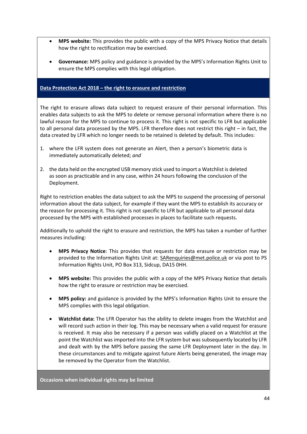- **MPS website:** This provides the public with a copy of the MPS Privacy Notice that details how the right to rectification may be exercised.
- **Governance:** MPS policy and guidance is provided by the MPS's Information Rights Unit to ensure the MPS complies with this legal obligation.

#### **Data Protection Act 2018 – the right to erasure and restriction**

The right to erasure allows data subject to request erasure of their personal information. This enables data subjects to ask the MPS to delete or remove personal information where there is no lawful reason for the MPS to continue to process it. This right is not specific to LFR but applicable to all personal data processed by the MPS. LFR therefore does not restrict this right – in fact, the data created by LFR which no longer needs to be retained is deleted by default. This includes:

- 1. where the LFR system does not generate an Alert, then a person's biometric data is immediately automatically deleted; *and*
- 2. the data held on the encrypted USB memory stick used to import a Watchlist is deleted as soon as practicable and in any case, within 24 hours following the conclusion of the Deployment.

Right to restriction enables the data subject to ask the MPS to suspend the processing of personal information about the data subject, for example if they want the MPS to establish its accuracy or the reason for processing it. This right is not specific to LFR but applicable to all personal data processed by the MPS with established processes in places to facilitate such requests.

Additionally to uphold the right to erasure and restriction, the MPS has taken a number of further measures including:

- **MPS Privacy Notice**: This provides that requests for data erasure or restriction may be provided to the Information Rights Unit at: [SARenquiries@met.police.uk](mailto:SARenquiries@met.police.uk) or via post to PS Information Rights Unit, PO Box 313, Sidcup, DA15 0HH.
- **MPS website:** This provides the public with a copy of the MPS Privacy Notice that details how the right to erasure or restriction may be exercised.
- **MPS policy:** and guidance is provided by the MPS's Information Rights Unit to ensure the MPS complies with this legal obligation.
- **Watchlist data:** The LFR Operator has the ability to delete images from the Watchlist and will record such action in their log. This may be necessary when a valid request for erasure is received. It may also be necessary if a person was validly placed on a Watchlist at the point the Watchlist was imported into the LFR system but was subsequently located by LFR and dealt with by the MPS before passing the same LFR Deployment later in the day. In these circumstances and to mitigate against future Alerts being generated, the image may be removed by the Operator from the Watchlist.

**Occasions when individual rights may be limited**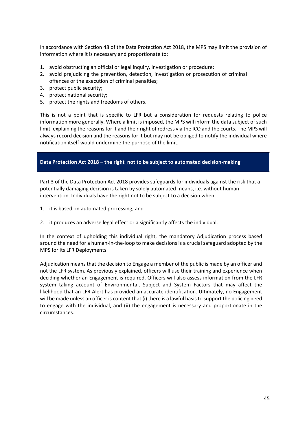In accordance with Section 48 of the Data Protection Act 2018, the MPS may limit the provision of information where it is necessary and proportionate to:

- 1. avoid obstructing an official or legal inquiry, investigation or procedure;
- 2. avoid prejudicing the prevention, detection, investigation or prosecution of criminal offences or the execution of criminal penalties;
- 3. protect public security;
- 4. protect national security;
- 5. protect the rights and freedoms of others.

This is not a point that is specific to LFR but a consideration for requests relating to police information more generally. Where a limit is imposed, the MPS will inform the data subject of such limit, explaining the reasons for it and their right of redress via the ICO and the courts. The MPS will always record decision and the reasons for it but may not be obliged to notify the individual where notification itself would undermine the purpose of the limit.

#### **Data Protection Act 2018 – the right not to be subject to automated decision-making**

Part 3 of the Data Protection Act 2018 provides safeguards for individuals against the risk that a potentially damaging decision is taken by solely automated means, i.e. without human intervention. Individuals have the right not to be subject to a decision when:

- 1. it is based on automated processing; and
- 2. it produces an adverse legal effect or a significantly affects the individual.

In the context of upholding this individual right, the mandatory Adjudication process based around the need for a human-in-the-loop to make decisions is a crucial safeguard adopted by the MPS for its LFR Deployments.

Adjudication means that the decision to Engage a member of the public is made by an officer and not the LFR system. As previously explained, officers will use their training and experience when deciding whether an Engagement is required. Officers will also assess information from the LFR system taking account of Environmental, Subject and System Factors that may affect the likelihood that an LFR Alert has provided an accurate identification. Ultimately, no Engagement will be made unless an officer is content that (i) there is a lawful basis to support the policing need to engage with the individual, and (ii) the engagement is necessary and proportionate in the circumstances.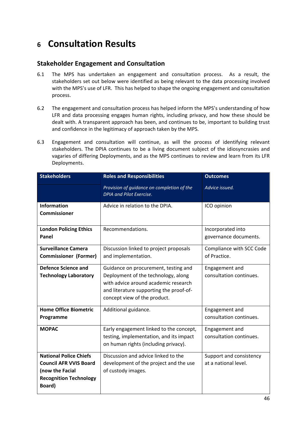### <span id="page-45-0"></span>**<sup>6</sup> Consultation Results**

#### **Stakeholder Engagement and Consultation**

- 6.1 The MPS has undertaken an engagement and consultation process. As a result, the stakeholders set out below were identified as being relevant to the data processing involved with the MPS's use of LFR. This has helped to shape the ongoing engagement and consultation process.
- 6.2 The engagement and consultation process has helped inform the MPS's understanding of how LFR and data processing engages human rights, including privacy, and how these should be dealt with. A transparent approach has been, and continues to be, important to building trust and confidence in the legitimacy of approach taken by the MPS.
- 6.3 Engagement and consultation will continue, as will the process of identifying relevant stakeholders. The DPIA continues to be a living document subject of the idiosyncrasies and vagaries of differing Deployments, and as the MPS continues to review and learn from its LFR Deployments.

| <b>Stakeholders</b>                                                                                                          | <b>Roles and Responsibilities</b>                                                                                                                                                              | <b>Outcomes</b>                                 |
|------------------------------------------------------------------------------------------------------------------------------|------------------------------------------------------------------------------------------------------------------------------------------------------------------------------------------------|-------------------------------------------------|
|                                                                                                                              | Provision of guidance on completion of the<br>DPIA and Pilot Exercise.                                                                                                                         | Advice issued.                                  |
| <b>Information</b><br><b>Commissioner</b>                                                                                    | Advice in relation to the DPIA.                                                                                                                                                                | ICO opinion                                     |
| <b>London Policing Ethics</b><br>Panel                                                                                       | Recommendations.                                                                                                                                                                               | Incorporated into<br>governance documents.      |
| <b>Surveillance Camera</b><br><b>Commissioner (Former)</b>                                                                   | Discussion linked to project proposals<br>and implementation.                                                                                                                                  | Compliance with SCC Code<br>of Practice.        |
| <b>Defence Science and</b><br><b>Technology Laboratory</b>                                                                   | Guidance on procurement, testing and<br>Deployment of the technology, along<br>with advice around academic research<br>and literature supporting the proof-of-<br>concept view of the product. | Engagement and<br>consultation continues.       |
| <b>Home Office Biometric</b><br>Programme                                                                                    | Additional guidance.                                                                                                                                                                           | Engagement and<br>consultation continues.       |
| <b>MOPAC</b>                                                                                                                 | Early engagement linked to the concept,<br>testing, implementation, and its impact<br>on human rights (including privacy).                                                                     | Engagement and<br>consultation continues.       |
| <b>National Police Chiefs</b><br><b>Council AFR VVIS Board</b><br>(now the Facial<br><b>Recognition Technology</b><br>Board) | Discussion and advice linked to the<br>development of the project and the use<br>of custody images.                                                                                            | Support and consistency<br>at a national level. |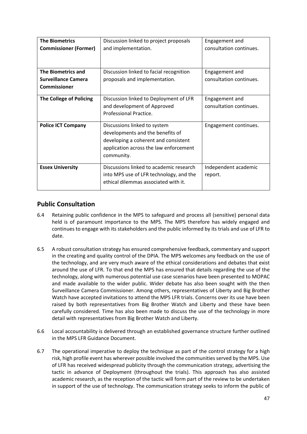| <b>The Biometrics</b>          | Discussion linked to project proposals  | Engagement and          |
|--------------------------------|-----------------------------------------|-------------------------|
|                                |                                         | consultation continues. |
| <b>Commissioner (Former)</b>   | and implementation.                     |                         |
|                                |                                         |                         |
|                                |                                         |                         |
| <b>The Biometrics and</b>      | Discussion linked to facial recognition | Engagement and          |
| <b>Surveillance Camera</b>     | proposals and implementation.           | consultation continues. |
| <b>Commissioner</b>            |                                         |                         |
|                                |                                         |                         |
| <b>The College of Policing</b> | Discussion linked to Deployment of LFR  | Engagement and          |
|                                | and development of Approved             | consultation continues. |
|                                | Professional Practice.                  |                         |
|                                |                                         |                         |
| <b>Police ICT Company</b>      | Discussions linked to system            | Engagement continues.   |
|                                | developments and the benefits of        |                         |
|                                | developing a coherent and consistent    |                         |
|                                | application across the law enforcement  |                         |
|                                | community.                              |                         |
|                                |                                         |                         |
| <b>Essex University</b>        | Discussions linked to academic research | Independent academic    |
|                                | into MPS use of LFR technology, and the | report.                 |
|                                | ethical dilemmas associated with it.    |                         |
|                                |                                         |                         |

#### **Public Consultation**

- 6.4 Retaining public confidence in the MPS to safeguard and process all (sensitive) personal data held is of paramount importance to the MPS. The MPS therefore has widely engaged and continues to engage with its stakeholders and the public informed by its trials and use of LFR to date.
- 6.5 A robust consultation strategy has ensured comprehensive feedback, commentary and support in the creating and quality control of the DPIA. The MPS welcomes any feedback on the use of the technology, and are very much aware of the ethical considerations and debates that exist around the use of LFR. To that end the MPS has ensured that details regarding the use of the technology, along with numerous potential use case scenarios have been presented to MOPAC and made available to the wider public. Wider debate has also been sought with the then Surveillance Camera Commissioner. Among others, representatives of Liberty and Big Brother Watch have accepted invitations to attend the MPS LFR trials. Concerns over its use have been raised by both representatives from Big Brother Watch and Liberty and these have been carefully considered. Time has also been made to discuss the use of the technology in more detail with representatives from Big Brother Watch and Liberty.
- 6.6 Local accountability is delivered through an established governance structure further outlined in the MPS LFR Guidance Document.
- 6.7 The operational imperative to deploy the technique as part of the control strategy for a high risk, high profile event has wherever possible involved the communities served by the MPS. Use of LFR has received widespread publicity through the communication strategy, advertising the tactic in advance of Deployment (throughout the trials). This approach has also assisted academic research, as the reception of the tactic will form part of the review to be undertaken in support of the use of technology. The communication strategy seeks to inform the public of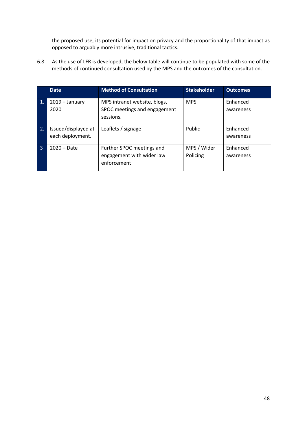the proposed use, its potential for impact on privacy and the proportionality of that impact as opposed to arguably more intrusive, traditional tactics.

6.8 As the use of LFR is developed, the below table will continue to be populated with some of the methods of continued consultation used by the MPS and the outcomes of the consultation.

|                | <b>Date</b>                             | <b>Method of Consultation</b>                                             | <b>Stakeholder</b>      | <b>Outcomes</b>       |
|----------------|-----------------------------------------|---------------------------------------------------------------------------|-------------------------|-----------------------|
| $\mathbf{1}$ . | $2019 - January$<br>2020                | MPS intranet website, blogs,<br>SPOC meetings and engagement<br>sessions. | <b>MPS</b>              | Enhanced<br>awareness |
| 2.             | Issued/displayed at<br>each deployment. | Leaflets / signage                                                        | Public                  | Enhanced<br>awareness |
| 3              | $2020 - Date$                           | Further SPOC meetings and<br>engagement with wider law<br>enforcement     | MPS / Wider<br>Policing | Enhanced<br>awareness |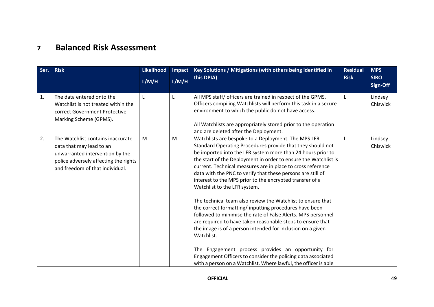### **7 Balanced Risk Assessment**

<span id="page-48-0"></span>

| Ser.           | <b>Risk</b>                                                                                                                                                                  | Likelihood<br>L/M/H | Impact<br>L/M/H | Key Solutions / Mitigations (with others being identified in<br>this DPIA)                                                                                                                                                                                                                                                                                                                                                                                                                                                                                                                                                                                                                                                                                                                                                                                                                                                                                                                                  | <b>Residual</b><br><b>Risk</b> | <b>MPS</b><br><b>SIRO</b><br>Sign-Off |
|----------------|------------------------------------------------------------------------------------------------------------------------------------------------------------------------------|---------------------|-----------------|-------------------------------------------------------------------------------------------------------------------------------------------------------------------------------------------------------------------------------------------------------------------------------------------------------------------------------------------------------------------------------------------------------------------------------------------------------------------------------------------------------------------------------------------------------------------------------------------------------------------------------------------------------------------------------------------------------------------------------------------------------------------------------------------------------------------------------------------------------------------------------------------------------------------------------------------------------------------------------------------------------------|--------------------------------|---------------------------------------|
| $\mathbf{1}$ . | The data entered onto the<br>Watchlist is not treated within the<br>correct Government Protective<br>Marking Scheme (GPMS).                                                  | L                   | L               | All MPS staff/ officers are trained in respect of the GPMS.<br>Officers compiling Watchlists will perform this task in a secure<br>environment to which the public do not have access.<br>All Watchlists are appropriately stored prior to the operation<br>and are deleted after the Deployment.                                                                                                                                                                                                                                                                                                                                                                                                                                                                                                                                                                                                                                                                                                           | L                              | Lindsey<br>Chiswick                   |
| 2.             | The Watchlist contains inaccurate<br>data that may lead to an<br>unwarranted intervention by the<br>police adversely affecting the rights<br>and freedom of that individual. | M                   | M               | Watchlists are bespoke to a Deployment. The MPS LFR<br>Standard Operating Procedures provide that they should not<br>be imported into the LFR system more than 24 hours prior to<br>the start of the Deployment in order to ensure the Watchlist is<br>current. Technical measures are in place to cross reference<br>data with the PNC to verify that these persons are still of<br>interest to the MPS prior to the encrypted transfer of a<br>Watchlist to the LFR system.<br>The technical team also review the Watchlist to ensure that<br>the correct formatting/inputting procedures have been<br>followed to minimise the rate of False Alerts. MPS personnel<br>are required to have taken reasonable steps to ensure that<br>the image is of a person intended for inclusion on a given<br>Watchlist.<br>Engagement process provides an opportunity for<br>The<br>Engagement Officers to consider the policing data associated<br>with a person on a Watchlist. Where lawful, the officer is able | L                              | Lindsey<br>Chiswick                   |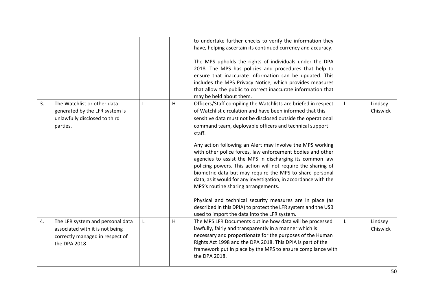|    |                                                                                                                        |             |   | to undertake further checks to verify the information they<br>have, helping ascertain its continued currency and accuracy.<br>The MPS upholds the rights of individuals under the DPA<br>2018. The MPS has policies and procedures that help to<br>ensure that inaccurate information can be updated. This<br>includes the MPS Privacy Notice, which provides measures<br>that allow the public to correct inaccurate information that<br>may be held about them.                                                                                                                                                                                                                                                                                                                                                                                                           |   |                     |
|----|------------------------------------------------------------------------------------------------------------------------|-------------|---|-----------------------------------------------------------------------------------------------------------------------------------------------------------------------------------------------------------------------------------------------------------------------------------------------------------------------------------------------------------------------------------------------------------------------------------------------------------------------------------------------------------------------------------------------------------------------------------------------------------------------------------------------------------------------------------------------------------------------------------------------------------------------------------------------------------------------------------------------------------------------------|---|---------------------|
| 3. | The Watchlist or other data<br>generated by the LFR system is<br>unlawfully disclosed to third<br>parties.             | L           | H | Officers/Staff compiling the Watchlists are briefed in respect<br>of Watchlist circulation and have been informed that this<br>sensitive data must not be disclosed outside the operational<br>command team, deployable officers and technical support<br>staff.<br>Any action following an Alert may involve the MPS working<br>with other police forces, law enforcement bodies and other<br>agencies to assist the MPS in discharging its common law<br>policing powers. This action will not require the sharing of<br>biometric data but may require the MPS to share personal<br>data, as it would for any investigation, in accordance with the<br>MPS's routine sharing arrangements.<br>Physical and technical security measures are in place (as<br>described in this DPIA) to protect the LFR system and the USB<br>used to import the data into the LFR system. | L | Lindsey<br>Chiswick |
| 4. | The LFR system and personal data<br>associated with it is not being<br>correctly managed in respect of<br>the DPA 2018 | $\mathsf L$ | H | The MPS LFR Documents outline how data will be processed<br>lawfully, fairly and transparently in a manner which is<br>necessary and proportionate for the purposes of the Human<br>Rights Act 1998 and the DPA 2018. This DPIA is part of the<br>framework put in place by the MPS to ensure compliance with<br>the DPA 2018.                                                                                                                                                                                                                                                                                                                                                                                                                                                                                                                                              | L | Lindsey<br>Chiswick |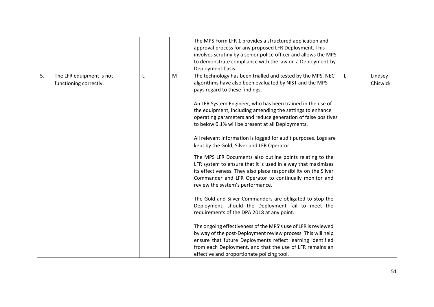|    |                                                    |   | The MPS Form LFR 1 provides a structured application and<br>approval process for any proposed LFR Deployment. This<br>involves scrutiny by a senior police officer and allows the MPS<br>to demonstrate compliance with the law on a Deployment-by-<br>Deployment basis.                                                                                                                                                                                                                                                                                                                                                                                                                                                                                                                                                                                                                                                                                                                                                                                                                                                                                                                                                                                                                         |                     |
|----|----------------------------------------------------|---|--------------------------------------------------------------------------------------------------------------------------------------------------------------------------------------------------------------------------------------------------------------------------------------------------------------------------------------------------------------------------------------------------------------------------------------------------------------------------------------------------------------------------------------------------------------------------------------------------------------------------------------------------------------------------------------------------------------------------------------------------------------------------------------------------------------------------------------------------------------------------------------------------------------------------------------------------------------------------------------------------------------------------------------------------------------------------------------------------------------------------------------------------------------------------------------------------------------------------------------------------------------------------------------------------|---------------------|
| 5. | The LFR equipment is not<br>functioning correctly. | M | The technology has been trialled and tested by the MPS. NEC<br>algorithms have also been evaluated by NIST and the MPS<br>pays regard to these findings.<br>An LFR System Engineer, who has been trained in the use of<br>the equipment, including amending the settings to enhance<br>operating parameters and reduce generation of false positives<br>to below 0.1% will be present at all Deployments.<br>All relevant information is logged for audit purposes. Logs are<br>kept by the Gold, Silver and LFR Operator.<br>The MPS LFR Documents also outline points relating to the<br>LFR system to ensure that it is used in a way that maximises<br>its effectiveness. They also place responsibility on the Silver<br>Commander and LFR Operator to continually monitor and<br>review the system's performance.<br>The Gold and Silver Commanders are obligated to stop the<br>Deployment, should the Deployment fail to meet the<br>requirements of the DPA 2018 at any point.<br>The ongoing effectiveness of the MPS's use of LFR is reviewed<br>by way of the post-Deployment review process. This will help<br>ensure that future Deployments reflect learning identified<br>from each Deployment, and that the use of LFR remains an<br>effective and proportionate policing tool. | Lindsey<br>Chiswick |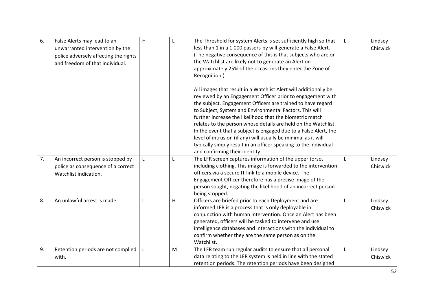| 6. | False Alerts may lead to an<br>unwarranted intervention by the<br>police adversely affecting the rights<br>and freedom of that individual. | H | L | The Threshold for system Alerts is set sufficiently high so that<br>less than 1 in a 1,000 passers-by will generate a False Alert.<br>(The negative consequence of this is that subjects who are on<br>the Watchlist are likely not to generate an Alert on<br>approximately 25% of the occasions they enter the Zone of<br>Recognition.)<br>All images that result in a Watchlist Alert will additionally be<br>reviewed by an Engagement Officer prior to engagement with<br>the subject. Engagement Officers are trained to have regard<br>to Subject, System and Environmental Factors. This will | L | Lindsey<br>Chiswick |
|----|--------------------------------------------------------------------------------------------------------------------------------------------|---|---|-------------------------------------------------------------------------------------------------------------------------------------------------------------------------------------------------------------------------------------------------------------------------------------------------------------------------------------------------------------------------------------------------------------------------------------------------------------------------------------------------------------------------------------------------------------------------------------------------------|---|---------------------|
|    |                                                                                                                                            |   |   | further increase the likelihood that the biometric match<br>relates to the person whose details are held on the Watchlist.<br>In the event that a subject is engaged due to a False Alert, the<br>level of intrusion (if any) will usually be minimal as it will<br>typically simply result in an officer speaking to the individual<br>and confirming their identity.                                                                                                                                                                                                                                |   |                     |
| 7. | An incorrect person is stopped by<br>police as consequence of a correct<br>Watchlist indication.                                           | L | L | The LFR screen captures information of the upper torso,<br>including clothing. This image is forwarded to the intervention<br>officers via a secure IT link to a mobile device. The<br>Engagement Officer therefore has a precise image of the<br>person sought, negating the likelihood of an incorrect person<br>being stopped.                                                                                                                                                                                                                                                                     | L | Lindsey<br>Chiswick |
| 8. | An unlawful arrest is made                                                                                                                 | L | H | Officers are briefed prior to each Deployment and are<br>informed LFR is a process that is only deployable in<br>conjunction with human intervention. Once an Alert has been<br>generated, officers will be tasked to intervene and use<br>intelligence databases and interactions with the individual to<br>confirm whether they are the same person as on the<br>Watchlist.                                                                                                                                                                                                                         | L | Lindsey<br>Chiswick |
| 9. | Retention periods are not complied<br>with.                                                                                                | L | M | The LFR team run regular audits to ensure that all personal<br>data relating to the LFR system is held in line with the stated<br>retention periods. The retention periods have been designed                                                                                                                                                                                                                                                                                                                                                                                                         | L | Lindsey<br>Chiswick |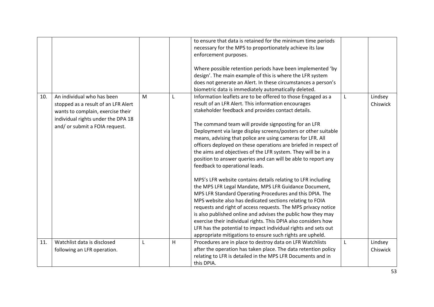|     |                                     |   |   | to ensure that data is retained for the minimum time periods    |   |          |
|-----|-------------------------------------|---|---|-----------------------------------------------------------------|---|----------|
|     |                                     |   |   | necessary for the MPS to proportionately achieve its law        |   |          |
|     |                                     |   |   | enforcement purposes.                                           |   |          |
|     |                                     |   |   |                                                                 |   |          |
|     |                                     |   |   | Where possible retention periods have been implemented 'by      |   |          |
|     |                                     |   |   | design'. The main example of this is where the LFR system       |   |          |
|     |                                     |   |   | does not generate an Alert. In these circumstances a person's   |   |          |
|     |                                     |   |   | biometric data is immediately automatically deleted.            |   |          |
| 10. | An individual who has been          | M | L | Information leaflets are to be offered to those Engaged as a    | L | Lindsey  |
|     | stopped as a result of an LFR Alert |   |   | result of an LFR Alert. This information encourages             |   | Chiswick |
|     | wants to complain, exercise their   |   |   | stakeholder feedback and provides contact details.              |   |          |
|     | individual rights under the DPA 18  |   |   |                                                                 |   |          |
|     | and/ or submit a FOIA request.      |   |   | The command team will provide signposting for an LFR            |   |          |
|     |                                     |   |   | Deployment via large display screens/posters or other suitable  |   |          |
|     |                                     |   |   | means, advising that police are using cameras for LFR. All      |   |          |
|     |                                     |   |   | officers deployed on these operations are briefed in respect of |   |          |
|     |                                     |   |   | the aims and objectives of the LFR system. They will be in a    |   |          |
|     |                                     |   |   | position to answer queries and can will be able to report any   |   |          |
|     |                                     |   |   | feedback to operational leads.                                  |   |          |
|     |                                     |   |   | MPS's LFR website contains details relating to LFR including    |   |          |
|     |                                     |   |   | the MPS LFR Legal Mandate, MPS LFR Guidance Document,           |   |          |
|     |                                     |   |   | MPS LFR Standard Operating Procedures and this DPIA. The        |   |          |
|     |                                     |   |   | MPS website also has dedicated sections relating to FOIA        |   |          |
|     |                                     |   |   | requests and right of access requests. The MPS privacy notice   |   |          |
|     |                                     |   |   | is also published online and advises the public how they may    |   |          |
|     |                                     |   |   | exercise their individual rights. This DPIA also considers how  |   |          |
|     |                                     |   |   | LFR has the potential to impact individual rights and sets out  |   |          |
|     |                                     |   |   | appropriate mitigations to ensure such rights are upheld.       |   |          |
| 11. | Watchlist data is disclosed         | L | H | Procedures are in place to destroy data on LFR Watchlists       | L | Lindsey  |
|     | following an LFR operation.         |   |   | after the operation has taken place. The data retention policy  |   | Chiswick |
|     |                                     |   |   | relating to LFR is detailed in the MPS LFR Documents and in     |   |          |
|     |                                     |   |   | this DPIA.                                                      |   |          |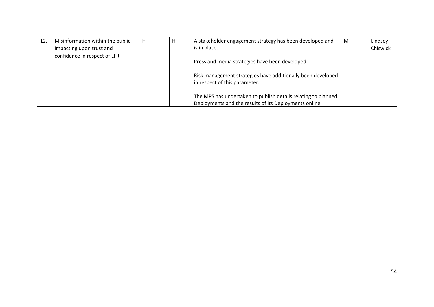| 12. | Misinformation within the public, | H | H | A stakeholder engagement strategy has been developed and                                                                | M | Lindsey  |
|-----|-----------------------------------|---|---|-------------------------------------------------------------------------------------------------------------------------|---|----------|
|     | impacting upon trust and          |   |   | is in place.                                                                                                            |   | Chiswick |
|     | confidence in respect of LFR      |   |   | Press and media strategies have been developed.                                                                         |   |          |
|     |                                   |   |   | Risk management strategies have additionally been developed<br>in respect of this parameter.                            |   |          |
|     |                                   |   |   | The MPS has undertaken to publish details relating to planned<br>Deployments and the results of its Deployments online. |   |          |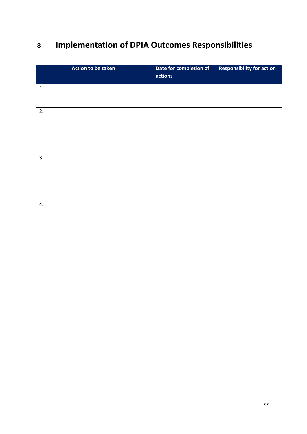# <span id="page-54-0"></span>**8 Implementation of DPIA Outcomes Responsibilities**

|    | Action to be taken | Date for completion of<br>actions | <b>Responsibility for action</b> |
|----|--------------------|-----------------------------------|----------------------------------|
| 1. |                    |                                   |                                  |
| 2. |                    |                                   |                                  |
| 3. |                    |                                   |                                  |
| 4. |                    |                                   |                                  |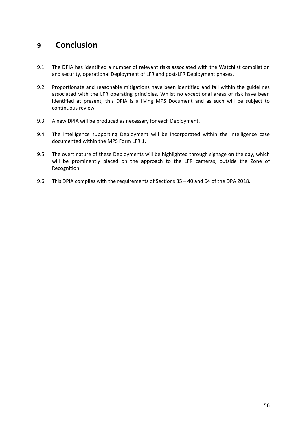### <span id="page-55-0"></span>**9 Conclusion**

- 9.1 The DPIA has identified a number of relevant risks associated with the Watchlist compilation and security, operational Deployment of LFR and post-LFR Deployment phases.
- 9.2 Proportionate and reasonable mitigations have been identified and fall within the guidelines associated with the LFR operating principles. Whilst no exceptional areas of risk have been identified at present, this DPIA is a living MPS Document and as such will be subject to continuous review.
- 9.3 A new DPIA will be produced as necessary for each Deployment.
- 9.4 The intelligence supporting Deployment will be incorporated within the intelligence case documented within the MPS Form LFR 1.
- 9.5 The overt nature of these Deployments will be highlighted through signage on the day, which will be prominently placed on the approach to the LFR cameras, outside the Zone of Recognition.
- 9.6 This DPIA complies with the requirements of Sections 35 40 and 64 of the DPA 2018.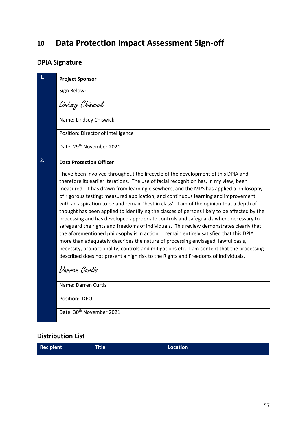### <span id="page-56-0"></span>**10 Data Protection Impact Assessment Sign-off**

### **DPIA Signature**

| $\mathbf{1}$ . | <b>Project Sponsor</b>                                                                                                                                                                                                                                                                                                                                                                                                                                                                                                                                                                                                                                                                                                                                                                                                                                                                                                                                                                                                                                                                                                  |
|----------------|-------------------------------------------------------------------------------------------------------------------------------------------------------------------------------------------------------------------------------------------------------------------------------------------------------------------------------------------------------------------------------------------------------------------------------------------------------------------------------------------------------------------------------------------------------------------------------------------------------------------------------------------------------------------------------------------------------------------------------------------------------------------------------------------------------------------------------------------------------------------------------------------------------------------------------------------------------------------------------------------------------------------------------------------------------------------------------------------------------------------------|
|                | Sign Below:                                                                                                                                                                                                                                                                                                                                                                                                                                                                                                                                                                                                                                                                                                                                                                                                                                                                                                                                                                                                                                                                                                             |
|                | Lindsey Chiswick                                                                                                                                                                                                                                                                                                                                                                                                                                                                                                                                                                                                                                                                                                                                                                                                                                                                                                                                                                                                                                                                                                        |
|                | Name: Lindsey Chiswick                                                                                                                                                                                                                                                                                                                                                                                                                                                                                                                                                                                                                                                                                                                                                                                                                                                                                                                                                                                                                                                                                                  |
|                | Position: Director of Intelligence                                                                                                                                                                                                                                                                                                                                                                                                                                                                                                                                                                                                                                                                                                                                                                                                                                                                                                                                                                                                                                                                                      |
|                | Date: 29 <sup>th</sup> November 2021                                                                                                                                                                                                                                                                                                                                                                                                                                                                                                                                                                                                                                                                                                                                                                                                                                                                                                                                                                                                                                                                                    |
| 2.             | <b>Data Protection Officer</b>                                                                                                                                                                                                                                                                                                                                                                                                                                                                                                                                                                                                                                                                                                                                                                                                                                                                                                                                                                                                                                                                                          |
|                | I have been involved throughout the lifecycle of the development of this DPIA and<br>therefore its earlier iterations. The use of facial recognition has, in my view, been<br>measured. It has drawn from learning elsewhere, and the MPS has applied a philosophy<br>of rigorous testing; measured application; and continuous learning and improvement<br>with an aspiration to be and remain 'best in class'. I am of the opinion that a depth of<br>thought has been applied to identifying the classes of persons likely to be affected by the<br>processing and has developed appropriate controls and safeguards where necessary to<br>safeguard the rights and freedoms of individuals. This review demonstrates clearly that<br>the aforementioned philosophy is in action. I remain entirely satisfied that this DPIA<br>more than adequately describes the nature of processing envisaged, lawful basis,<br>necessity, proportionality, controls and mitigations etc. I am content that the processing<br>described does not present a high risk to the Rights and Freedoms of individuals.<br>Darren Curtis |
|                | Name: Darren Curtis                                                                                                                                                                                                                                                                                                                                                                                                                                                                                                                                                                                                                                                                                                                                                                                                                                                                                                                                                                                                                                                                                                     |
|                | Position: DPO                                                                                                                                                                                                                                                                                                                                                                                                                                                                                                                                                                                                                                                                                                                                                                                                                                                                                                                                                                                                                                                                                                           |
|                | Date: 30 <sup>th</sup> November 2021                                                                                                                                                                                                                                                                                                                                                                                                                                                                                                                                                                                                                                                                                                                                                                                                                                                                                                                                                                                                                                                                                    |

#### **Distribution List**

| Recipient | Title | Location |
|-----------|-------|----------|
|           |       |          |
|           |       |          |
|           |       |          |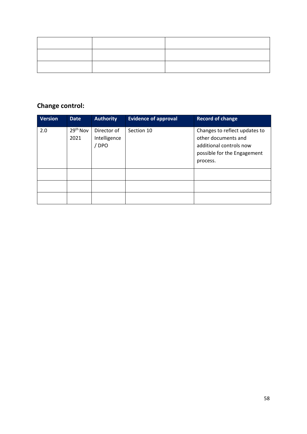### **Change control:**

| Version | <b>Date</b>                  | <b>Authority</b>                   | <b>Evidence of approval</b> | <b>Record of change</b>                                                                                                    |
|---------|------------------------------|------------------------------------|-----------------------------|----------------------------------------------------------------------------------------------------------------------------|
| 2.0     | 29 <sup>th</sup> Nov<br>2021 | Director of<br>Intelligence<br>DPO | Section 10                  | Changes to reflect updates to<br>other documents and<br>additional controls now<br>possible for the Engagement<br>process. |
|         |                              |                                    |                             |                                                                                                                            |
|         |                              |                                    |                             |                                                                                                                            |
|         |                              |                                    |                             |                                                                                                                            |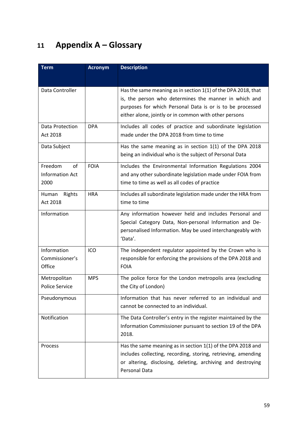# <span id="page-58-0"></span>**11 Appendix A – Glossary**

| <b>Term</b>                              | <b>Acronym</b> | <b>Description</b>                                                                                                                                                                                                                           |
|------------------------------------------|----------------|----------------------------------------------------------------------------------------------------------------------------------------------------------------------------------------------------------------------------------------------|
|                                          |                |                                                                                                                                                                                                                                              |
| Data Controller                          |                | Has the same meaning as in section 1(1) of the DPA 2018, that<br>is, the person who determines the manner in which and<br>purposes for which Personal Data is or is to be processed<br>either alone, jointly or in common with other persons |
| Data Protection<br>Act 2018              | <b>DPA</b>     | Includes all codes of practice and subordinate legislation<br>made under the DPA 2018 from time to time                                                                                                                                      |
| Data Subject                             |                | Has the same meaning as in section $1(1)$ of the DPA 2018<br>being an individual who is the subject of Personal Data                                                                                                                         |
| Freedom<br>of<br>Information Act<br>2000 | <b>FOIA</b>    | Includes the Environmental Information Regulations 2004<br>and any other subordinate legislation made under FOIA from<br>time to time as well as all codes of practice                                                                       |
| Rights<br>Human<br>Act 2018              | <b>HRA</b>     | Includes all subordinate legislation made under the HRA from<br>time to time                                                                                                                                                                 |
| Information                              |                | Any information however held and includes Personal and<br>Special Category Data, Non-personal Information and De-<br>personalised Information. May be used interchangeably with<br>'Data'.                                                   |
| Information<br>Commissioner's<br>Office  | ICO            | The independent regulator appointed by the Crown who is<br>responsible for enforcing the provisions of the DPA 2018 and<br><b>FOIA</b>                                                                                                       |
| Metropolitan<br><b>Police Service</b>    | <b>MPS</b>     | The police force for the London metropolis area (excluding<br>the City of London)                                                                                                                                                            |
| Pseudonymous                             |                | Information that has never referred to an individual and<br>cannot be connected to an individual.                                                                                                                                            |
| Notification                             |                | The Data Controller's entry in the register maintained by the<br>Information Commissioner pursuant to section 19 of the DPA<br>2018.                                                                                                         |
| Process                                  |                | Has the same meaning as in section $1(1)$ of the DPA 2018 and<br>includes collecting, recording, storing, retrieving, amending<br>or altering, disclosing, deleting, archiving and destroying<br>Personal Data                               |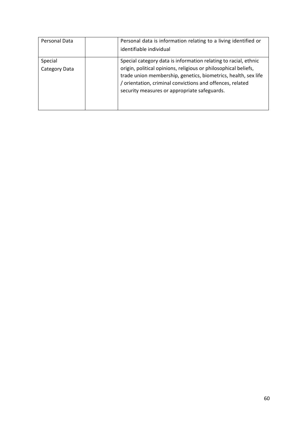| Personal Data            | Personal data is information relating to a living identified or<br>identifiable individual                                                                                                                                                                                                                        |
|--------------------------|-------------------------------------------------------------------------------------------------------------------------------------------------------------------------------------------------------------------------------------------------------------------------------------------------------------------|
| Special<br>Category Data | Special category data is information relating to racial, ethnic<br>origin, political opinions, religious or philosophical beliefs,<br>trade union membership, genetics, biometrics, health, sex life<br>/ orientation, criminal convictions and offences, related<br>security measures or appropriate safeguards. |